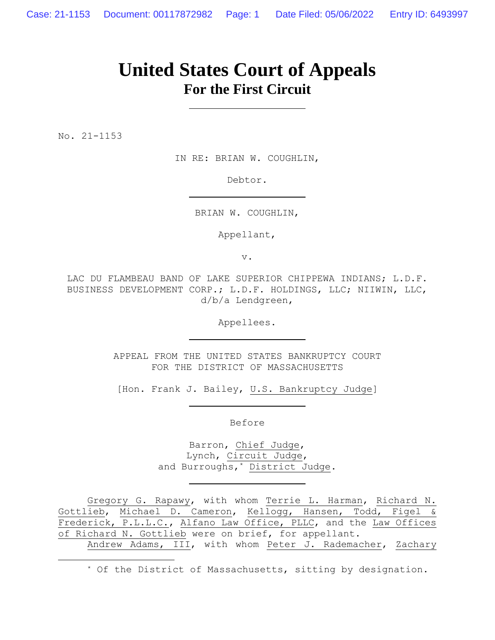# **United States Court of Appeals For the First Circuit**

No. 21-1153

IN RE: BRIAN W. COUGHLIN,

Debtor.

BRIAN W. COUGHLIN,

Appellant,

v.

LAC DU FLAMBEAU BAND OF LAKE SUPERIOR CHIPPEWA INDIANS; L.D.F. BUSINESS DEVELOPMENT CORP.; L.D.F. HOLDINGS, LLC; NIIWIN, LLC, d/b/a Lendgreen,

Appellees.

APPEAL FROM THE UNITED STATES BANKRUPTCY COURT FOR THE DISTRICT OF MASSACHUSETTS

[Hon. Frank J. Bailey, U.S. Bankruptcy Judge]

Before

Barron, Chief Judge, Lynch, Circuit Judge, and Burroughs,\* District Judge.

Gregory G. Rapawy, with whom Terrie L. Harman, Richard N. Gottlieb, Michael D. Cameron, Kellogg, Hansen, Todd, Figel & Frederick, P.L.L.C., Alfano Law Office, PLLC, and the Law Offices of Richard N. Gottlieb were on brief, for appellant. Andrew Adams, III, with whom Peter J. Rademacher, Zachary

\* Of the District of Massachusetts, sitting by designation.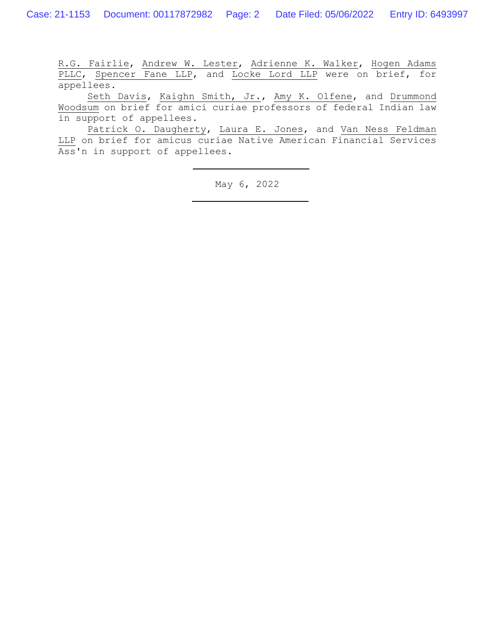R.G. Fairlie, Andrew W. Lester, Adrienne K. Walker, Hogen Adams PLLC, Spencer Fane LLP, and Locke Lord LLP were on brief, for appellees.

Seth Davis, Kaighn Smith, Jr., Amy K. Olfene, and Drummond Woodsum on brief for amici curiae professors of federal Indian law in support of appellees.

Patrick O. Daugherty, Laura E. Jones, and Van Ness Feldman LLP on brief for amicus curiae Native American Financial Services Ass'n in support of appellees.

May 6, 2022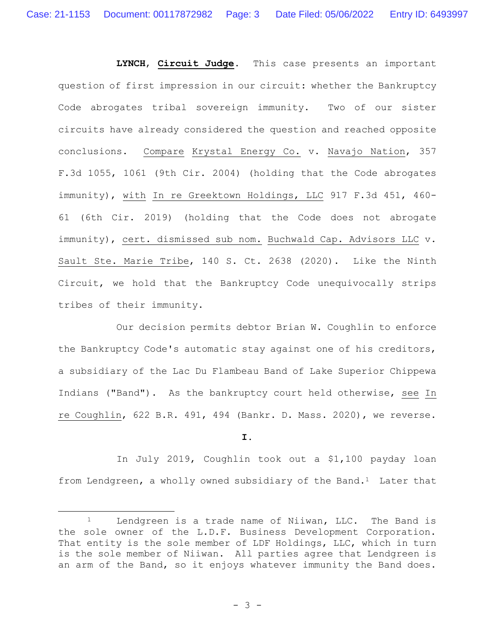**LYNCH**, **Circuit Judge**. This case presents an important question of first impression in our circuit: whether the Bankruptcy Code abrogates tribal sovereign immunity. Two of our sister circuits have already considered the question and reached opposite conclusions. Compare Krystal Energy Co. v. Navajo Nation, 357 F.3d 1055, 1061 (9th Cir. 2004) (holding that the Code abrogates immunity), with In re Greektown Holdings, LLC 917 F.3d 451, 460- 61 (6th Cir. 2019) (holding that the Code does not abrogate immunity), cert. dismissed sub nom. Buchwald Cap. Advisors LLC v. Sault Ste. Marie Tribe, 140 S. Ct. 2638 (2020). Like the Ninth Circuit, we hold that the Bankruptcy Code unequivocally strips tribes of their immunity.

Our decision permits debtor Brian W. Coughlin to enforce the Bankruptcy Code's automatic stay against one of his creditors, a subsidiary of the Lac Du Flambeau Band of Lake Superior Chippewa Indians ("Band"). As the bankruptcy court held otherwise, see In re Coughlin, 622 B.R. 491, 494 (Bankr. D. Mass. 2020), we reverse.

**I.**

In July 2019, Coughlin took out a \$1,100 payday loan from Lendgreen, a wholly owned subsidiary of the Band.<sup>1</sup> Later that

<sup>&</sup>lt;sup>1</sup> Lendgreen is a trade name of Niiwan, LLC. The Band is the sole owner of the L.D.F. Business Development Corporation. That entity is the sole member of LDF Holdings, LLC, which in turn is the sole member of Niiwan. All parties agree that Lendgreen is an arm of the Band, so it enjoys whatever immunity the Band does.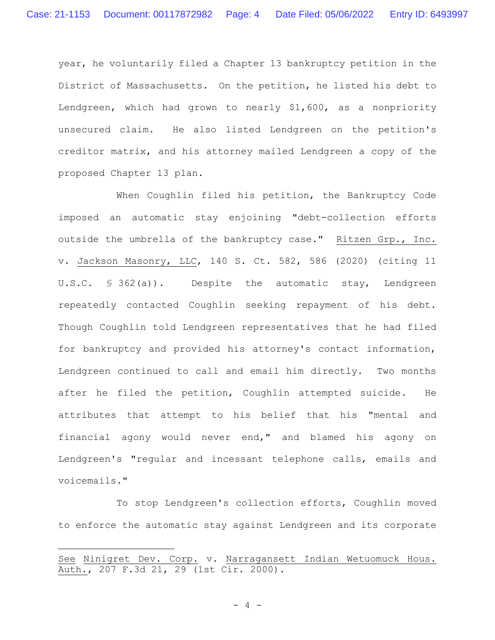year, he voluntarily filed a Chapter 13 bankruptcy petition in the District of Massachusetts. On the petition, he listed his debt to Lendgreen, which had grown to nearly \$1,600, as a nonpriority unsecured claim. He also listed Lendgreen on the petition's creditor matrix, and his attorney mailed Lendgreen a copy of the proposed Chapter 13 plan.

When Coughlin filed his petition, the Bankruptcy Code imposed an automatic stay enjoining "debt-collection efforts outside the umbrella of the bankruptcy case." Ritzen Grp., Inc. v. Jackson Masonry, LLC, 140 S. Ct. 582, 586 (2020) (citing 11 U.S.C. § 362(a)). Despite the automatic stay, Lendgreen repeatedly contacted Coughlin seeking repayment of his debt. Though Coughlin told Lendgreen representatives that he had filed for bankruptcy and provided his attorney's contact information, Lendgreen continued to call and email him directly. Two months after he filed the petition, Coughlin attempted suicide. He attributes that attempt to his belief that his "mental and financial agony would never end," and blamed his agony on Lendgreen's "regular and incessant telephone calls, emails and voicemails."

To stop Lendgreen's collection efforts, Coughlin moved to enforce the automatic stay against Lendgreen and its corporate

 $- 4 -$ 

See Ninigret Dev. Corp. v. Narragansett Indian Wetuomuck Hous. Auth., 207 F.3d 21, 29 (1st Cir. 2000).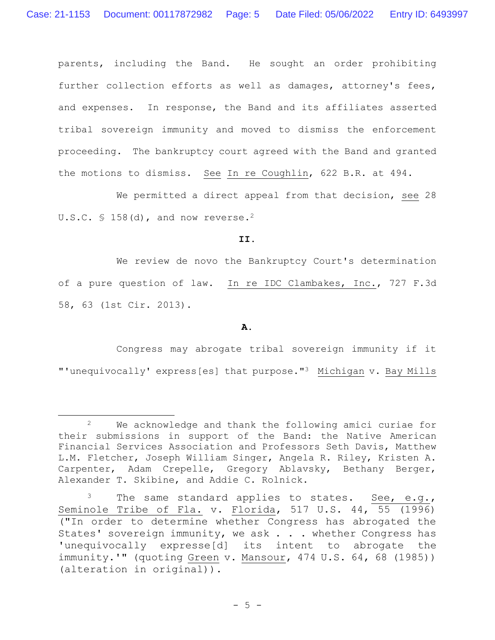parents, including the Band. He sought an order prohibiting further collection efforts as well as damages, attorney's fees, and expenses. In response, the Band and its affiliates asserted tribal sovereign immunity and moved to dismiss the enforcement proceeding. The bankruptcy court agreed with the Band and granted the motions to dismiss. See In re Coughlin, 622 B.R. at 494.

We permitted a direct appeal from that decision, see 28 U.S.C.  $\text{\$ }158\text{ (d)}$ , and now reverse.<sup>2</sup>

**II.**

We review de novo the Bankruptcy Court's determination of a pure question of law. In re IDC Clambakes, Inc., 727 F.3d 58, 63 (1st Cir. 2013).

**A.**

Congress may abrogate tribal sovereign immunity if it "'unequivocally' express[es] that purpose."3 Michigan v. Bay Mills

<sup>2</sup> We acknowledge and thank the following amici curiae for their submissions in support of the Band: the Native American Financial Services Association and Professors Seth Davis, Matthew L.M. Fletcher, Joseph William Singer, Angela R. Riley, Kristen A. Carpenter, Adam Crepelle, Gregory Ablavsky, Bethany Berger, Alexander T. Skibine, and Addie C. Rolnick.

 $3$  The same standard applies to states. See, e.g., Seminole Tribe of Fla. v. Florida, 517 U.S. 44, 55 (1996) ("In order to determine whether Congress has abrogated the States' sovereign immunity, we ask . . . whether Congress has 'unequivocally expresse[d] its intent to abrogate the immunity.'" (quoting Green v. Mansour, 474 U.S. 64, 68 (1985)) (alteration in original)).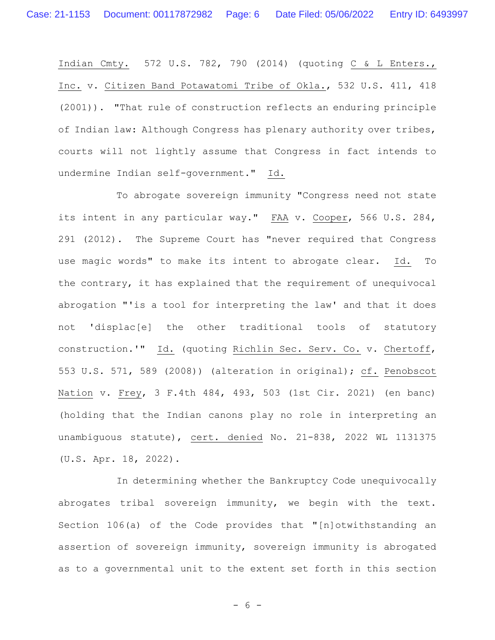Indian Cmty. 572 U.S. 782, 790 (2014) (quoting C & L Enters., Inc. v. Citizen Band Potawatomi Tribe of Okla., 532 U.S. 411, 418 (2001)). "That rule of construction reflects an enduring principle of Indian law: Although Congress has plenary authority over tribes, courts will not lightly assume that Congress in fact intends to undermine Indian self-government." Id.

To abrogate sovereign immunity "Congress need not state its intent in any particular way." FAA v. Cooper, 566 U.S. 284, 291 (2012). The Supreme Court has "never required that Congress use magic words" to make its intent to abrogate clear. Id. To the contrary, it has explained that the requirement of unequivocal abrogation "'is a tool for interpreting the law' and that it does not 'displac[e] the other traditional tools of statutory construction.'" Id. (quoting Richlin Sec. Serv. Co. v. Chertoff, 553 U.S. 571, 589 (2008)) (alteration in original); cf. Penobscot Nation v. Frey, 3 F.4th 484, 493, 503 (1st Cir. 2021) (en banc) (holding that the Indian canons play no role in interpreting an unambiguous statute), cert. denied No. 21-838, 2022 WL 1131375 (U.S. Apr. 18, 2022).

In determining whether the Bankruptcy Code unequivocally abrogates tribal sovereign immunity, we begin with the text. Section 106(a) of the Code provides that "[n]otwithstanding an assertion of sovereign immunity, sovereign immunity is abrogated as to a governmental unit to the extent set forth in this section

- 6 -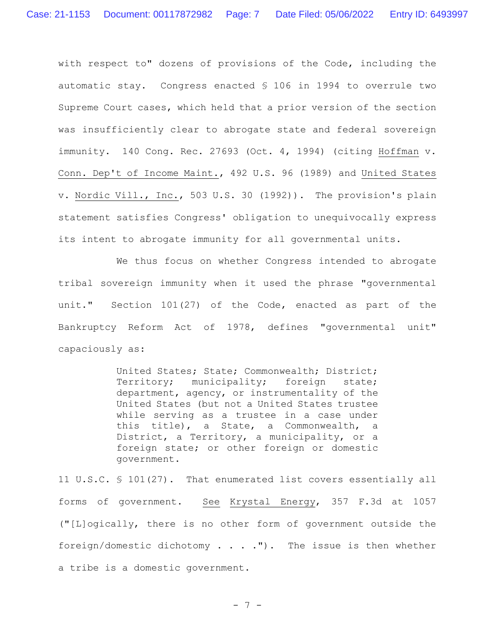with respect to" dozens of provisions of the Code, including the automatic stay. Congress enacted § 106 in 1994 to overrule two Supreme Court cases, which held that a prior version of the section was insufficiently clear to abrogate state and federal sovereign immunity. 140 Cong. Rec. 27693 (Oct. 4, 1994) (citing Hoffman v. Conn. Dep't of Income Maint., 492 U.S. 96 (1989) and United States v. Nordic Vill., Inc., 503 U.S. 30 (1992)). The provision's plain statement satisfies Congress' obligation to unequivocally express its intent to abrogate immunity for all governmental units.

We thus focus on whether Congress intended to abrogate tribal sovereign immunity when it used the phrase "governmental unit." Section 101(27) of the Code, enacted as part of the Bankruptcy Reform Act of 1978, defines "governmental unit" capaciously as:

> United States; State; Commonwealth; District; Territory; municipality; foreign state; department, agency, or instrumentality of the United States (but not a United States trustee while serving as a trustee in a case under this title), a State, a Commonwealth, a District, a Territory, a municipality, or a foreign state; or other foreign or domestic government.

11 U.S.C. § 101(27). That enumerated list covers essentially all forms of government. See Krystal Energy, 357 F.3d at 1057 ("[L]ogically, there is no other form of government outside the foreign/domestic dichotomy . . . ."). The issue is then whether a tribe is a domestic government.

- 7 -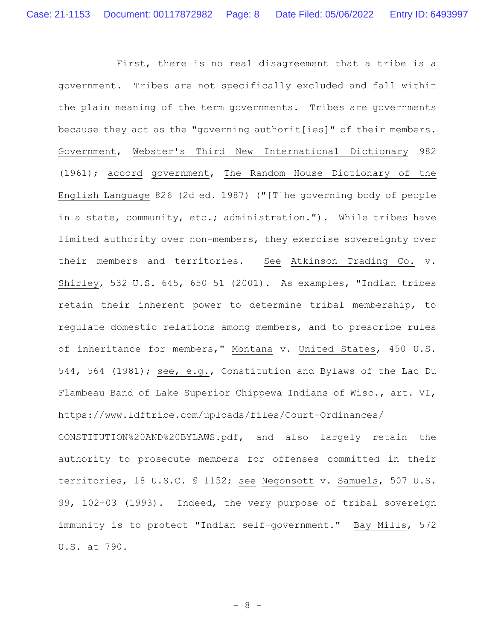First, there is no real disagreement that a tribe is a government. Tribes are not specifically excluded and fall within the plain meaning of the term governments. Tribes are governments because they act as the "governing authorit[ies]" of their members. Government, Webster's Third New International Dictionary 982 (1961); accord government, The Random House Dictionary of the English Language 826 (2d ed. 1987) ("[T]he governing body of people in a state, community, etc.; administration."). While tribes have limited authority over non-members, they exercise sovereignty over their members and territories. See Atkinson Trading Co. v. Shirley, 532 U.S. 645, 650–51 (2001). As examples, "Indian tribes retain their inherent power to determine tribal membership, to regulate domestic relations among members, and to prescribe rules of inheritance for members," Montana v. United States, 450 U.S. 544, 564 (1981); see, e.g., Constitution and Bylaws of the Lac Du Flambeau Band of Lake Superior Chippewa Indians of Wisc., art. VI, https://www.ldftribe.com/uploads/files/Court-Ordinances/ CONSTITUTION%20AND%20BYLAWS.pdf, and also largely retain the authority to prosecute members for offenses committed in their territories, 18 U.S.C. § 1152; see Negonsott v. Samuels, 507 U.S. 99, 102-03 (1993). Indeed, the very purpose of tribal sovereign immunity is to protect "Indian self-government." Bay Mills, 572 U.S. at 790.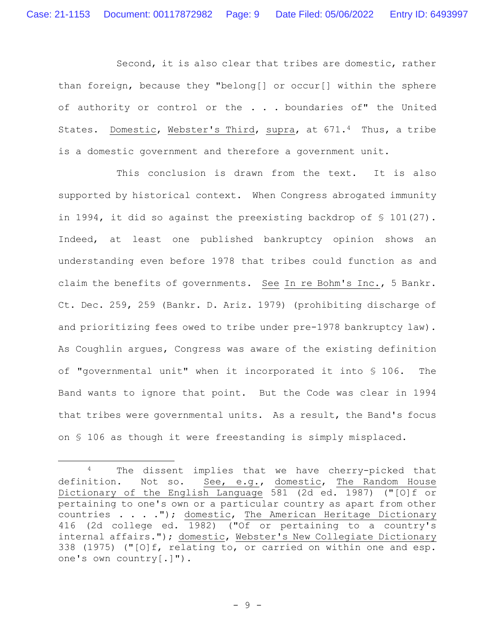Second, it is also clear that tribes are domestic, rather than foreign, because they "belong[] or occur[] within the sphere of authority or control or the . . . boundaries of" the United States. Domestic, Webster's Third, supra, at 671.4 Thus, a tribe is a domestic government and therefore a government unit.

This conclusion is drawn from the text. It is also supported by historical context. When Congress abrogated immunity in 1994, it did so against the preexisting backdrop of § 101(27). Indeed, at least one published bankruptcy opinion shows an understanding even before 1978 that tribes could function as and claim the benefits of governments. See In re Bohm's Inc., 5 Bankr. Ct. Dec. 259, 259 (Bankr. D. Ariz. 1979) (prohibiting discharge of and prioritizing fees owed to tribe under pre-1978 bankruptcy law). As Coughlin argues, Congress was aware of the existing definition of "governmental unit" when it incorporated it into § 106. The Band wants to ignore that point. But the Code was clear in 1994 that tribes were governmental units. As a result, the Band's focus on § 106 as though it were freestanding is simply misplaced.

<sup>4</sup> The dissent implies that we have cherry-picked that definition. Not so. See, e.g., domestic, The Random House Dictionary of the English Language 581 (2d ed. 1987) ("[O]f or pertaining to one's own or a particular country as apart from other countries . . . ."); domestic, The American Heritage Dictionary 416 (2d college ed. 1982) ("Of or pertaining to a country's internal affairs."); domestic, Webster's New Collegiate Dictionary 338 (1975) ("[O]f, relating to, or carried on within one and esp. one's own country[.]").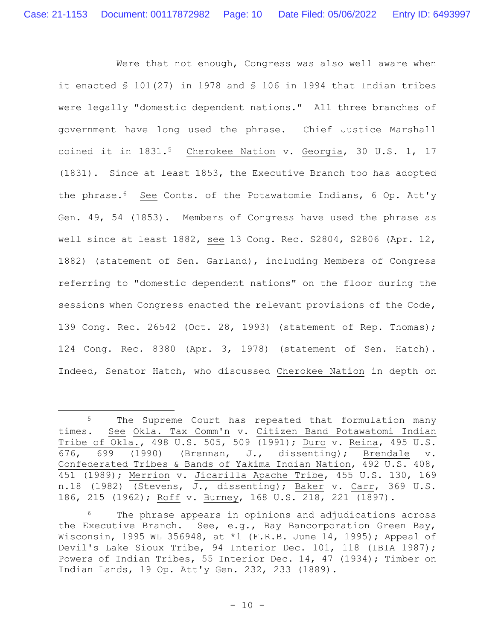Were that not enough, Congress was also well aware when it enacted § 101(27) in 1978 and § 106 in 1994 that Indian tribes were legally "domestic dependent nations." All three branches of government have long used the phrase. Chief Justice Marshall coined it in 1831.<sup>5</sup> Cherokee Nation v. Georgia, 30 U.S. 1, 17 (1831). Since at least 1853, the Executive Branch too has adopted the phrase.6 See Conts. of the Potawatomie Indians, 6 Op. Att'y Gen. 49, 54 (1853). Members of Congress have used the phrase as well since at least 1882, see 13 Cong. Rec. S2804, S2806 (Apr. 12, 1882) (statement of Sen. Garland), including Members of Congress referring to "domestic dependent nations" on the floor during the sessions when Congress enacted the relevant provisions of the Code, 139 Cong. Rec. 26542 (Oct. 28, 1993) (statement of Rep. Thomas); 124 Cong. Rec. 8380 (Apr. 3, 1978) (statement of Sen. Hatch). Indeed, Senator Hatch, who discussed Cherokee Nation in depth on

<sup>&</sup>lt;sup>5</sup> The Supreme Court has repeated that formulation many times. See Okla. Tax Comm'n v. Citizen Band Potawatomi Indian Tribe of Okla., 498 U.S. 505, 509 (1991); Duro v. Reina, 495 U.S. 676, 699 (1990) (Brennan, J., dissenting); Brendale v. Confederated Tribes & Bands of Yakima Indian Nation, 492 U.S. 408, 451 (1989); Merrion v. Jicarilla Apache Tribe, 455 U.S. 130, 169 n.18 (1982) (Stevens, J., dissenting); Baker v. Carr, 369 U.S. 186, 215 (1962); Roff v. Burney, 168 U.S. 218, 221 (1897).

<sup>&</sup>lt;sup>6</sup> The phrase appears in opinions and adjudications across the Executive Branch. See, e.g., Bay Bancorporation Green Bay, Wisconsin, 1995 WL 356948, at \*1 (F.R.B. June 14, 1995); Appeal of Devil's Lake Sioux Tribe, 94 Interior Dec. 101, 118 (IBIA 1987); Powers of Indian Tribes, 55 Interior Dec. 14, 47 (1934); Timber on Indian Lands, 19 Op. Att'y Gen. 232, 233 (1889).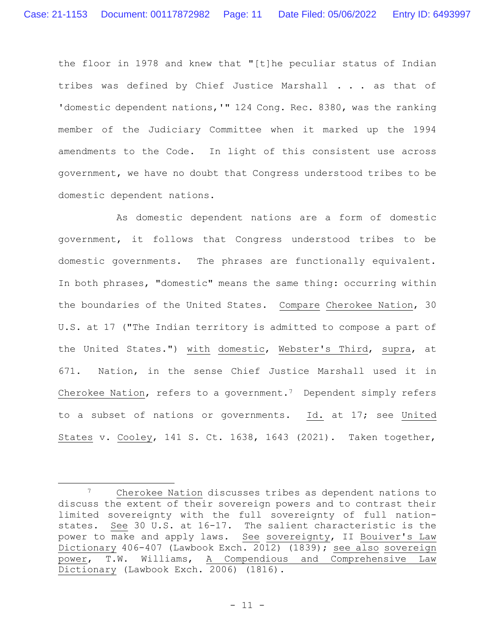the floor in 1978 and knew that "[t]he peculiar status of Indian tribes was defined by Chief Justice Marshall . . . as that of 'domestic dependent nations, '" 124 Cong. Rec. 8380, was the ranking member of the Judiciary Committee when it marked up the 1994 amendments to the Code. In light of this consistent use across government, we have no doubt that Congress understood tribes to be domestic dependent nations.

As domestic dependent nations are a form of domestic government, it follows that Congress understood tribes to be domestic governments. The phrases are functionally equivalent. In both phrases, "domestic" means the same thing: occurring within the boundaries of the United States. Compare Cherokee Nation, 30 U.S. at 17 ("The Indian territory is admitted to compose a part of the United States.") with domestic, Webster's Third, supra, at 671. Nation, in the sense Chief Justice Marshall used it in Cherokee Nation, refers to a government.<sup>7</sup> Dependent simply refers to a subset of nations or governments. Id. at 17; see United States v. Cooley, 141 S. Ct. 1638, 1643 (2021). Taken together,

<sup>7</sup> Cherokee Nation discusses tribes as dependent nations to discuss the extent of their sovereign powers and to contrast their limited sovereignty with the full sovereignty of full nationstates. See 30 U.S. at 16-17. The salient characteristic is the power to make and apply laws. See sovereignty, II Bouiver's Law Dictionary 406-407 (Lawbook Exch. 2012) (1839); see also sovereign power, T.W. Williams, A Compendious and Comprehensive Law Dictionary (Lawbook Exch. 2006) (1816).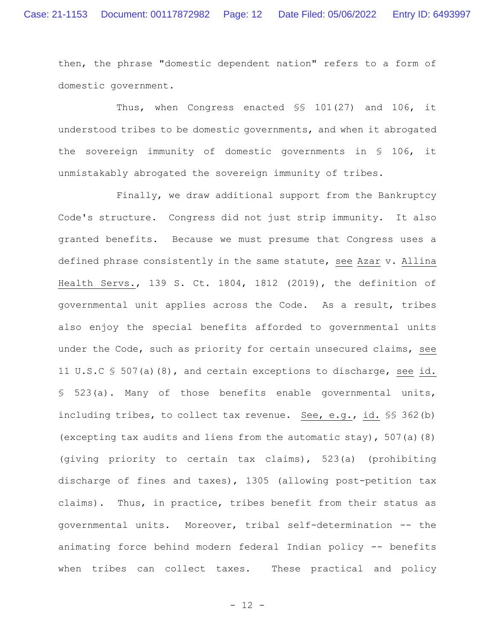then, the phrase "domestic dependent nation" refers to a form of domestic government.

Thus, when Congress enacted §§ 101(27) and 106, it understood tribes to be domestic governments, and when it abrogated the sovereign immunity of domestic governments in § 106, it unmistakably abrogated the sovereign immunity of tribes.

Finally, we draw additional support from the Bankruptcy Code's structure. Congress did not just strip immunity. It also granted benefits. Because we must presume that Congress uses a defined phrase consistently in the same statute, see Azar v. Allina Health Servs., 139 S. Ct. 1804, 1812 (2019), the definition of governmental unit applies across the Code. As a result, tribes also enjoy the special benefits afforded to governmental units under the Code, such as priority for certain unsecured claims, see 11 U.S.C § 507(a)(8), and certain exceptions to discharge, see id. § 523(a). Many of those benefits enable governmental units, including tribes, to collect tax revenue. See, e.g., id. §§ 362(b) (excepting tax audits and liens from the automatic stay), 507(a)(8) (giving priority to certain tax claims), 523(a) (prohibiting discharge of fines and taxes), 1305 (allowing post-petition tax claims). Thus, in practice, tribes benefit from their status as governmental units. Moreover, tribal self-determination -- the animating force behind modern federal Indian policy -- benefits when tribes can collect taxes. These practical and policy

- 12 -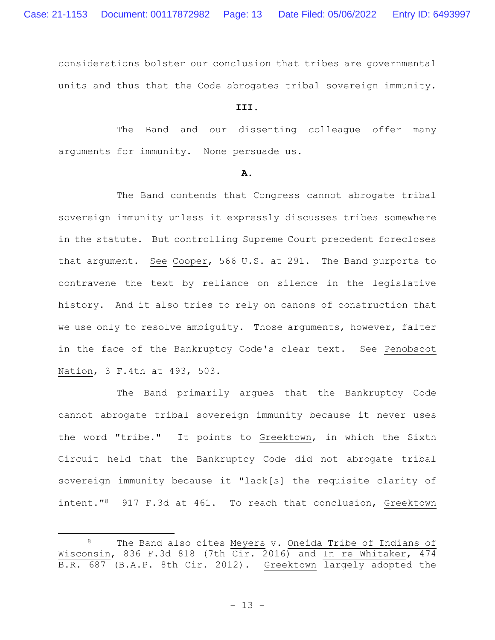considerations bolster our conclusion that tribes are governmental units and thus that the Code abrogates tribal sovereign immunity.

# **III.**

The Band and our dissenting colleague offer many arguments for immunity. None persuade us.

### **A.**

The Band contends that Congress cannot abrogate tribal sovereign immunity unless it expressly discusses tribes somewhere in the statute. But controlling Supreme Court precedent forecloses that argument. See Cooper, 566 U.S. at 291. The Band purports to contravene the text by reliance on silence in the legislative history. And it also tries to rely on canons of construction that we use only to resolve ambiguity. Those arguments, however, falter in the face of the Bankruptcy Code's clear text. See Penobscot Nation, 3 F.4th at 493, 503.

The Band primarily argues that the Bankruptcy Code cannot abrogate tribal sovereign immunity because it never uses the word "tribe." It points to Greektown, in which the Sixth Circuit held that the Bankruptcy Code did not abrogate tribal sovereign immunity because it "lack[s] the requisite clarity of intent."8 917 F.3d at 461. To reach that conclusion, Greektown

The Band also cites Meyers v. Oneida Tribe of Indians of Wisconsin, 836 F.3d 818 (7th Cir. 2016) and In re Whitaker, 474 B.R. 687 (B.A.P. 8th Cir. 2012). Greektown largely adopted the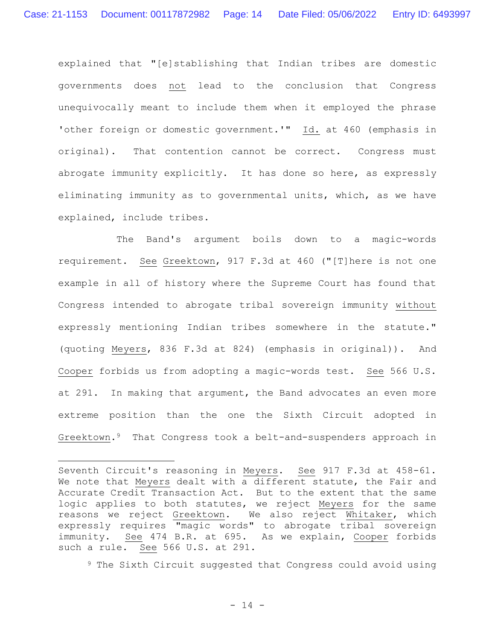explained that "[e]stablishing that Indian tribes are domestic governments does not lead to the conclusion that Congress unequivocally meant to include them when it employed the phrase 'other foreign or domestic government.'" Id. at 460 (emphasis in original). That contention cannot be correct. Congress must abrogate immunity explicitly. It has done so here, as expressly eliminating immunity as to governmental units, which, as we have explained, include tribes.

The Band's argument boils down to a magic-words requirement. See Greektown, 917 F.3d at 460 ("[T]here is not one example in all of history where the Supreme Court has found that Congress intended to abrogate tribal sovereign immunity without expressly mentioning Indian tribes somewhere in the statute." (quoting Meyers, 836 F.3d at 824) (emphasis in original)). And Cooper forbids us from adopting a magic-words test. See 566 U.S. at 291. In making that argument, the Band advocates an even more extreme position than the one the Sixth Circuit adopted in Greektown.9 That Congress took a belt-and-suspenders approach in

<sup>9</sup> The Sixth Circuit suggested that Congress could avoid using

Seventh Circuit's reasoning in Meyers. See 917 F.3d at 458-61. We note that Meyers dealt with a different statute, the Fair and Accurate Credit Transaction Act. But to the extent that the same logic applies to both statutes, we reject Meyers for the same reasons we reject Greektown. We also reject Whitaker, which expressly requires "magic words" to abrogate tribal sovereign immunity. See 474 B.R. at 695. As we explain, Cooper forbids such a rule. See 566 U.S. at 291.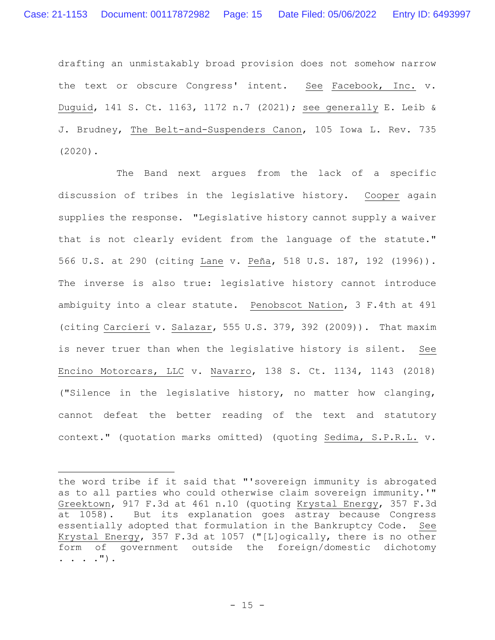drafting an unmistakably broad provision does not somehow narrow the text or obscure Congress' intent. See Facebook, Inc. v. Duguid, 141 S. Ct. 1163, 1172 n.7 (2021); see generally E. Leib & J. Brudney, The Belt-and-Suspenders Canon, 105 Iowa L. Rev. 735 (2020).

The Band next argues from the lack of a specific discussion of tribes in the legislative history. Cooper again supplies the response. "Legislative history cannot supply a waiver that is not clearly evident from the language of the statute." 566 U.S. at 290 (citing Lane v. Peña, 518 U.S. 187, 192 (1996)). The inverse is also true: legislative history cannot introduce ambiguity into a clear statute. Penobscot Nation, 3 F.4th at 491 (citing Carcieri v. Salazar, 555 U.S. 379, 392 (2009)). That maxim is never truer than when the legislative history is silent. See Encino Motorcars, LLC v. Navarro, 138 S. Ct. 1134, 1143 (2018) ("Silence in the legislative history, no matter how clanging, cannot defeat the better reading of the text and statutory context." (quotation marks omitted) (quoting Sedima, S.P.R.L. v.

the word tribe if it said that "'sovereign immunity is abrogated as to all parties who could otherwise claim sovereign immunity.'" Greektown, 917 F.3d at 461 n.10 (quoting Krystal Energy, 357 F.3d at 1058). But its explanation goes astray because Congress essentially adopted that formulation in the Bankruptcy Code. See Krystal Energy, 357 F.3d at 1057 ("[L]ogically, there is no other form of government outside the foreign/domestic dichotomy . . . .").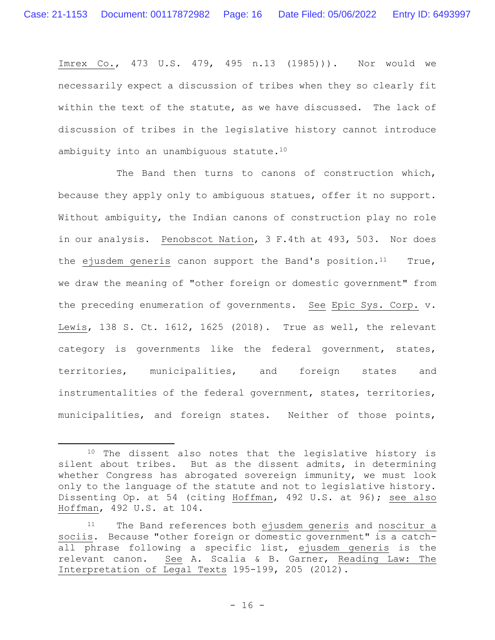Imrex Co., 473 U.S. 479, 495 n.13 (1985))). Nor would we necessarily expect a discussion of tribes when they so clearly fit within the text of the statute, as we have discussed. The lack of discussion of tribes in the legislative history cannot introduce ambiguity into an unambiguous statute.<sup>10</sup>

The Band then turns to canons of construction which, because they apply only to ambiguous statues, offer it no support. Without ambiguity, the Indian canons of construction play no role in our analysis. Penobscot Nation, 3 F.4th at 493, 503. Nor does the ejusdem generis canon support the Band's position.<sup>11</sup> True, we draw the meaning of "other foreign or domestic government" from the preceding enumeration of governments. See Epic Sys. Corp. v. Lewis, 138 S. Ct. 1612, 1625 (2018). True as well, the relevant category is governments like the federal government, states, territories, municipalities, and foreign states and instrumentalities of the federal government, states, territories, municipalities, and foreign states. Neither of those points,

<sup>&</sup>lt;sup>10</sup> The dissent also notes that the legislative history is silent about tribes. But as the dissent admits, in determining whether Congress has abrogated sovereign immunity, we must look only to the language of the statute and not to legislative history. Dissenting Op. at 54 (citing Hoffman, 492 U.S. at 96); see also Hoffman, 492 U.S. at 104.

<sup>11</sup> The Band references both ejusdem generis and noscitur a sociis. Because "other foreign or domestic government" is a catchall phrase following a specific list, ejusdem generis is the relevant canon. See A. Scalia & B. Garner, Reading Law: The Interpretation of Legal Texts 195-199, 205 (2012).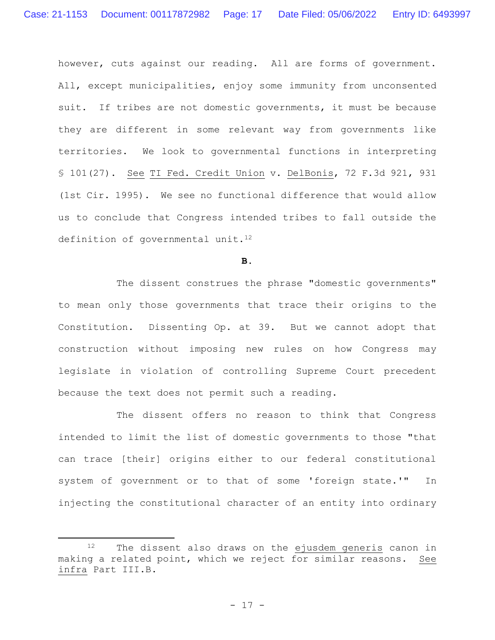however, cuts against our reading. All are forms of government. All, except municipalities, enjoy some immunity from unconsented suit. If tribes are not domestic governments, it must be because they are different in some relevant way from governments like territories. We look to governmental functions in interpreting § 101(27). See TI Fed. Credit Union v. DelBonis, 72 F.3d 921, 931 (1st Cir. 1995). We see no functional difference that would allow us to conclude that Congress intended tribes to fall outside the definition of governmental unit.<sup>12</sup>

**B.**

The dissent construes the phrase "domestic governments" to mean only those governments that trace their origins to the Constitution. Dissenting Op. at 39. But we cannot adopt that construction without imposing new rules on how Congress may legislate in violation of controlling Supreme Court precedent because the text does not permit such a reading.

The dissent offers no reason to think that Congress intended to limit the list of domestic governments to those "that can trace [their] origins either to our federal constitutional system of government or to that of some 'foreign state.'" In injecting the constitutional character of an entity into ordinary

<sup>12</sup> The dissent also draws on the ejusdem generis canon in making a related point, which we reject for similar reasons. See infra Part III.B.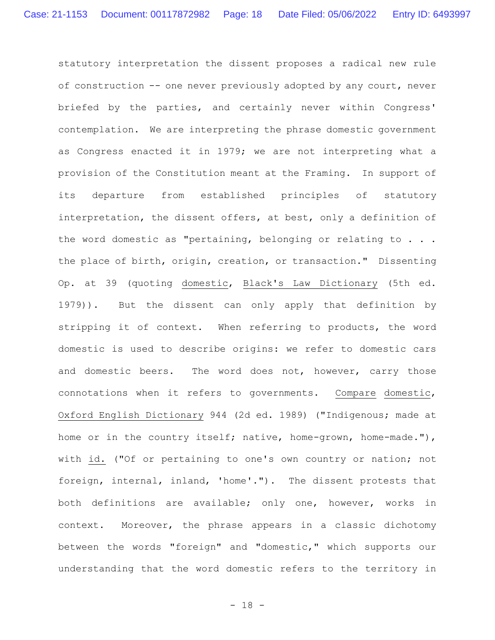statutory interpretation the dissent proposes a radical new rule of construction -- one never previously adopted by any court, never briefed by the parties, and certainly never within Congress' contemplation. We are interpreting the phrase domestic government as Congress enacted it in 1979; we are not interpreting what a provision of the Constitution meant at the Framing. In support of its departure from established principles of statutory interpretation, the dissent offers, at best, only a definition of the word domestic as "pertaining, belonging or relating to . . . the place of birth, origin, creation, or transaction." Dissenting Op. at 39 (quoting domestic, Black's Law Dictionary (5th ed. 1979)). But the dissent can only apply that definition by stripping it of context. When referring to products, the word domestic is used to describe origins: we refer to domestic cars and domestic beers. The word does not, however, carry those connotations when it refers to governments. Compare domestic, Oxford English Dictionary 944 (2d ed. 1989) ("Indigenous; made at home or in the country itself; native, home-grown, home-made."), with id. ("Of or pertaining to one's own country or nation; not foreign, internal, inland, 'home'."). The dissent protests that both definitions are available; only one, however, works in context. Moreover, the phrase appears in a classic dichotomy between the words "foreign" and "domestic," which supports our understanding that the word domestic refers to the territory in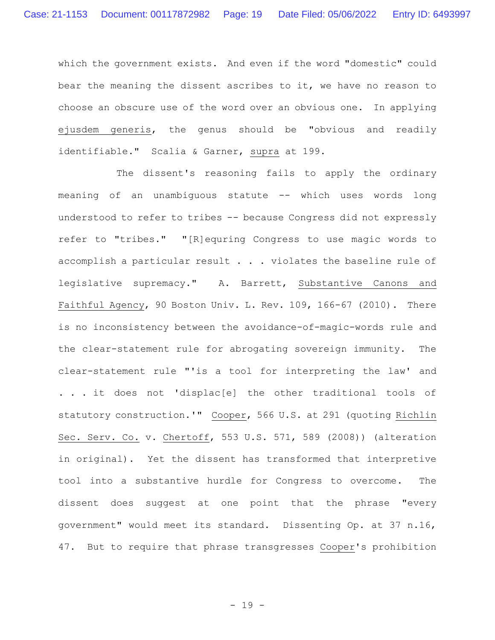which the government exists. And even if the word "domestic" could bear the meaning the dissent ascribes to it, we have no reason to choose an obscure use of the word over an obvious one. In applying ejusdem generis, the genus should be "obvious and readily identifiable." Scalia & Garner, supra at 199.

The dissent's reasoning fails to apply the ordinary meaning of an unambiguous statute -- which uses words long understood to refer to tribes -- because Congress did not expressly refer to "tribes." "[R]equring Congress to use magic words to accomplish a particular result . . . violates the baseline rule of legislative supremacy." A. Barrett, Substantive Canons and Faithful Agency, 90 Boston Univ. L. Rev. 109, 166-67 (2010). There is no inconsistency between the avoidance-of-magic-words rule and the clear-statement rule for abrogating sovereign immunity. The clear-statement rule "'is a tool for interpreting the law' and . . . it does not 'displac[e] the other traditional tools of statutory construction.'" Cooper, 566 U.S. at 291 (quoting Richlin Sec. Serv. Co. v. Chertoff, 553 U.S. 571, 589 (2008)) (alteration in original). Yet the dissent has transformed that interpretive tool into a substantive hurdle for Congress to overcome. The dissent does suggest at one point that the phrase "every government" would meet its standard. Dissenting Op. at 37 n.16, 47. But to require that phrase transgresses Cooper's prohibition

- 19 -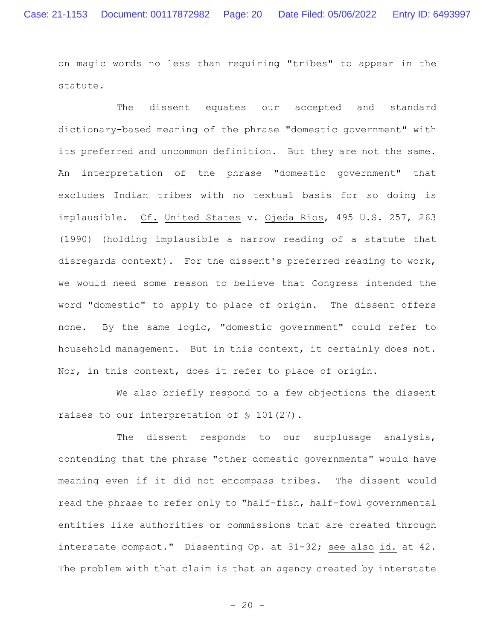on magic words no less than requiring "tribes" to appear in the statute.

The dissent equates our accepted and standard dictionary-based meaning of the phrase "domestic government" with its preferred and uncommon definition. But they are not the same. An interpretation of the phrase "domestic government" that excludes Indian tribes with no textual basis for so doing is implausible. Cf. United States v. Ojeda Rios, 495 U.S. 257, 263 (1990) (holding implausible a narrow reading of a statute that disregards context). For the dissent's preferred reading to work, we would need some reason to believe that Congress intended the word "domestic" to apply to place of origin. The dissent offers none. By the same logic, "domestic government" could refer to household management. But in this context, it certainly does not. Nor, in this context, does it refer to place of origin.

We also briefly respond to a few objections the dissent raises to our interpretation of § 101(27).

The dissent responds to our surplusage analysis, contending that the phrase "other domestic governments" would have meaning even if it did not encompass tribes. The dissent would read the phrase to refer only to "half-fish, half-fowl governmental entities like authorities or commissions that are created through interstate compact." Dissenting Op. at 31-32; see also id. at 42. The problem with that claim is that an agency created by interstate

 $- 20 -$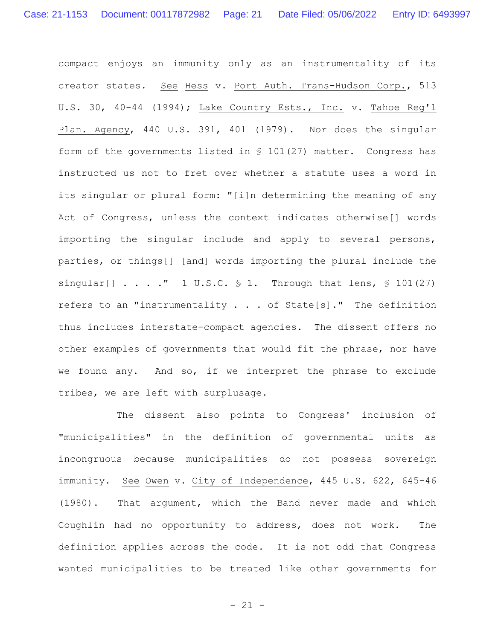compact enjoys an immunity only as an instrumentality of its creator states. See Hess v. Port Auth. Trans-Hudson Corp., 513 U.S. 30, 40-44 (1994); Lake Country Ests., Inc. v. Tahoe Reg'l Plan. Agency, 440 U.S. 391, 401 (1979). Nor does the singular form of the governments listed in § 101(27) matter. Congress has instructed us not to fret over whether a statute uses a word in its singular or plural form: "[i]n determining the meaning of any Act of Congress, unless the context indicates otherwise[] words importing the singular include and apply to several persons, parties, or things[] [and] words importing the plural include the singular[]  $\ldots$  ." 1 U.S.C. § 1. Through that lens, § 101(27) refers to an "instrumentality . . . of State[s]." The definition thus includes interstate-compact agencies. The dissent offers no other examples of governments that would fit the phrase, nor have we found any. And so, if we interpret the phrase to exclude tribes, we are left with surplusage.

The dissent also points to Congress' inclusion of "municipalities" in the definition of governmental units as incongruous because municipalities do not possess sovereign immunity. See Owen v. City of Independence, 445 U.S. 622, 645-46 (1980). That argument, which the Band never made and which Coughlin had no opportunity to address, does not work. The definition applies across the code. It is not odd that Congress wanted municipalities to be treated like other governments for

- 21 -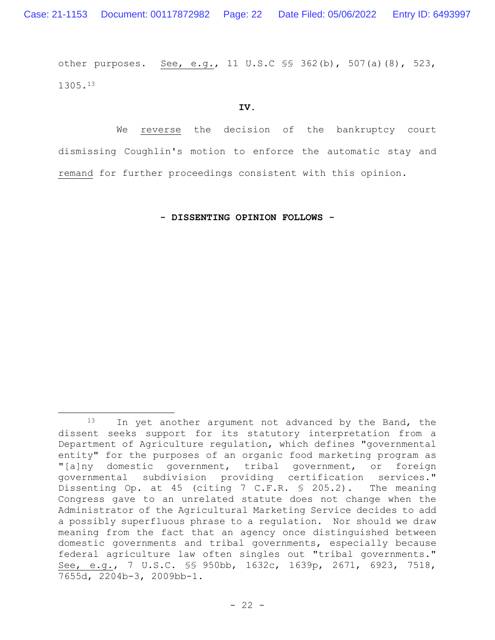other purposes. See, e.g., 11 U.S.C §§ 362(b), 507(a)(8), 523, 1305.<sup>13</sup>

**IV.**

We reverse the decision of the bankruptcy court dismissing Coughlin**'**s motion to enforce the automatic stay and remand for further proceedings consistent with this opinion.

**- DISSENTING OPINION FOLLOWS -**

<sup>13</sup> In yet another argument not advanced by the Band, the dissent seeks support for its statutory interpretation from a Department of Agriculture regulation, which defines "governmental entity" for the purposes of an organic food marketing program as "[a]ny domestic government, tribal government, or foreign governmental subdivision providing certification services." Dissenting Op. at 45 (citing 7 C.F.R. § 205.2). The meaning Congress gave to an unrelated statute does not change when the Administrator of the Agricultural Marketing Service decides to add a possibly superfluous phrase to a regulation. Nor should we draw meaning from the fact that an agency once distinguished between domestic governments and tribal governments, especially because federal agriculture law often singles out "tribal governments." See, e.g., 7 U.S.C. §§ 950bb, 1632c, 1639p, 2671, 6923, 7518, 7655d, 2204b-3, 2009bb-1.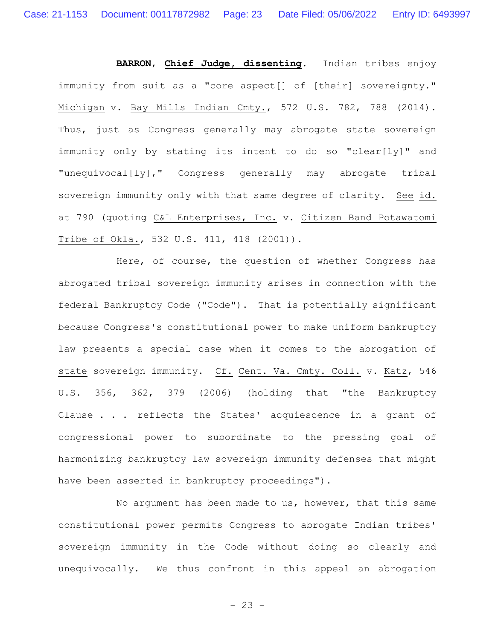**BARRON**, **Chief Judge, dissenting**. Indian tribes enjoy immunity from suit as a "core aspect[] of [their] sovereignty." Michigan v. Bay Mills Indian Cmty., 572 U.S. 782, 788 (2014). Thus, just as Congress generally may abrogate state sovereign immunity only by stating its intent to do so "clear[ly]" and "unequivocal[ly]," Congress generally may abrogate tribal sovereign immunity only with that same degree of clarity. See id. at 790 (quoting C&L Enterprises, Inc. v. Citizen Band Potawatomi Tribe of Okla., 532 U.S. 411, 418 (2001)).

Here, of course, the question of whether Congress has abrogated tribal sovereign immunity arises in connection with the federal Bankruptcy Code ("Code"). That is potentially significant because Congress's constitutional power to make uniform bankruptcy law presents a special case when it comes to the abrogation of state sovereign immunity. Cf. Cent. Va. Cmty. Coll. v. Katz, 546 U.S. 356, 362, 379 (2006) (holding that "the Bankruptcy Clause . . . reflects the States' acquiescence in a grant of congressional power to subordinate to the pressing goal of harmonizing bankruptcy law sovereign immunity defenses that might have been asserted in bankruptcy proceedings").

No argument has been made to us, however, that this same constitutional power permits Congress to abrogate Indian tribes' sovereign immunity in the Code without doing so clearly and unequivocally. We thus confront in this appeal an abrogation

- 23 -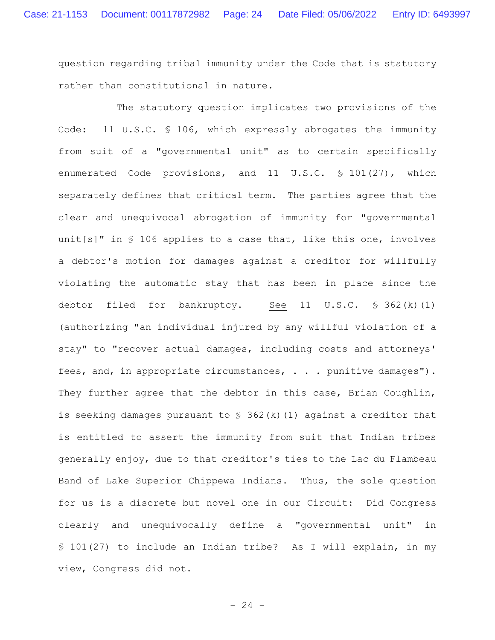question regarding tribal immunity under the Code that is statutory rather than constitutional in nature.

The statutory question implicates two provisions of the Code: 11 U.S.C. § 106, which expressly abrogates the immunity from suit of a "governmental unit" as to certain specifically enumerated Code provisions, and 11 U.S.C. § 101(27), which separately defines that critical term. The parties agree that the clear and unequivocal abrogation of immunity for "governmental unit[s]" in § 106 applies to a case that, like this one, involves a debtor's motion for damages against a creditor for willfully violating the automatic stay that has been in place since the debtor filed for bankruptcy. See 11 U.S.C.  $\frac{1}{5}$  362(k)(1) (authorizing "an individual injured by any willful violation of a stay" to "recover actual damages, including costs and attorneys' fees, and, in appropriate circumstances, . . . punitive damages"). They further agree that the debtor in this case, Brian Coughlin, is seeking damages pursuant to  $\frac{1}{2}$  362(k)(1) against a creditor that is entitled to assert the immunity from suit that Indian tribes generally enjoy, due to that creditor's ties to the Lac du Flambeau Band of Lake Superior Chippewa Indians. Thus, the sole question for us is a discrete but novel one in our Circuit: Did Congress clearly and unequivocally define a "governmental unit" in § 101(27) to include an Indian tribe? As I will explain, in my view, Congress did not.

 $- 24 -$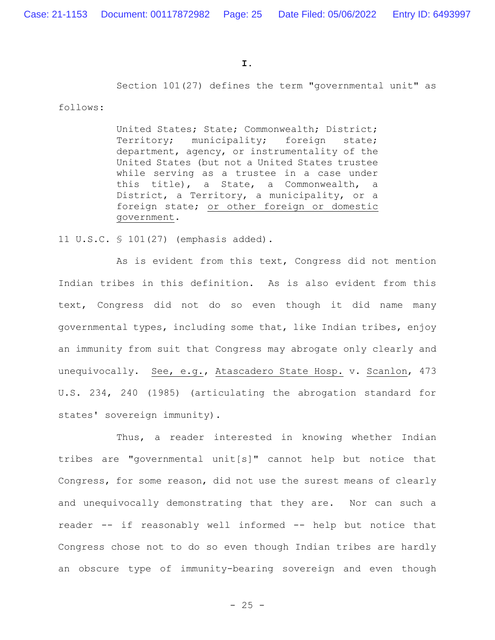Section 101(27) defines the term "governmental unit" as

follows:

United States; State; Commonwealth; District; Territory; municipality; foreign state; department, agency, or instrumentality of the United States (but not a United States trustee while serving as a trustee in a case under this title), a State, a Commonwealth, a District, a Territory, a municipality, or a foreign state; or other foreign or domestic government.

11 U.S.C. § 101(27) (emphasis added).

As is evident from this text, Congress did not mention Indian tribes in this definition. As is also evident from this text, Congress did not do so even though it did name many governmental types, including some that, like Indian tribes, enjoy an immunity from suit that Congress may abrogate only clearly and unequivocally. See, e.g., Atascadero State Hosp. v. Scanlon, 473 U.S. 234, 240 (1985) (articulating the abrogation standard for states' sovereign immunity).

Thus, a reader interested in knowing whether Indian tribes are "governmental unit[s]" cannot help but notice that Congress, for some reason, did not use the surest means of clearly and unequivocally demonstrating that they are. Nor can such a reader -- if reasonably well informed -- help but notice that Congress chose not to do so even though Indian tribes are hardly an obscure type of immunity-bearing sovereign and even though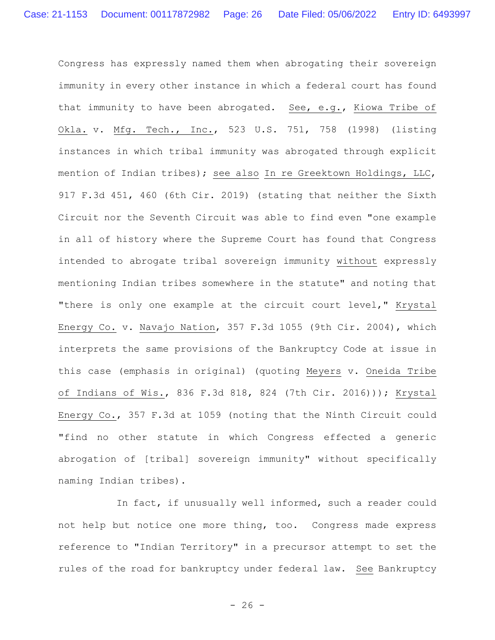Congress has expressly named them when abrogating their sovereign immunity in every other instance in which a federal court has found that immunity to have been abrogated. See, e.g., Kiowa Tribe of Okla. v. Mfg. Tech., Inc., 523 U.S. 751, 758 (1998) (listing instances in which tribal immunity was abrogated through explicit mention of Indian tribes); see also In re Greektown Holdings, LLC, 917 F.3d 451, 460 (6th Cir. 2019) (stating that neither the Sixth Circuit nor the Seventh Circuit was able to find even "one example in all of history where the Supreme Court has found that Congress intended to abrogate tribal sovereign immunity without expressly mentioning Indian tribes somewhere in the statute" and noting that "there is only one example at the circuit court level," Krystal Energy Co. v. Navajo Nation, 357 F.3d 1055 (9th Cir. 2004), which interprets the same provisions of the Bankruptcy Code at issue in this case (emphasis in original) (quoting Meyers v. Oneida Tribe of Indians of Wis., 836 F.3d 818, 824 (7th Cir. 2016))); Krystal Energy Co., 357 F.3d at 1059 (noting that the Ninth Circuit could "find no other statute in which Congress effected a generic abrogation of [tribal] sovereign immunity" without specifically naming Indian tribes).

In fact, if unusually well informed, such a reader could not help but notice one more thing, too. Congress made express reference to "Indian Territory" in a precursor attempt to set the rules of the road for bankruptcy under federal law. See Bankruptcy

 $- 26 -$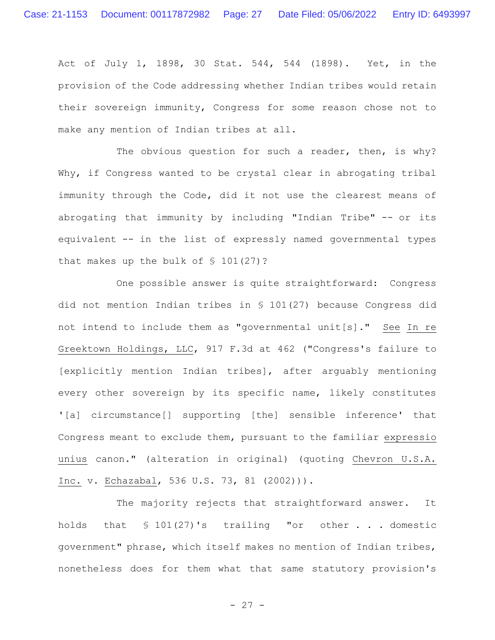Act of July 1, 1898, 30 Stat. 544, 544 (1898). Yet, in the provision of the Code addressing whether Indian tribes would retain their sovereign immunity, Congress for some reason chose not to make any mention of Indian tribes at all.

The obvious question for such a reader, then, is why? Why, if Congress wanted to be crystal clear in abrogating tribal immunity through the Code, did it not use the clearest means of abrogating that immunity by including "Indian Tribe" -- or its equivalent -- in the list of expressly named governmental types that makes up the bulk of § 101(27)?

One possible answer is quite straightforward: Congress did not mention Indian tribes in § 101(27) because Congress did not intend to include them as "governmental unit[s]." See In re Greektown Holdings, LLC, 917 F.3d at 462 ("Congress's failure to [explicitly mention Indian tribes], after arguably mentioning every other sovereign by its specific name, likely constitutes '[a] circumstance[] supporting [the] sensible inference' that Congress meant to exclude them, pursuant to the familiar expressio unius canon." (alteration in original) (quoting Chevron U.S.A. Inc. v. Echazabal, 536 U.S. 73, 81 (2002))).

The majority rejects that straightforward answer. It holds that § 101(27)'s trailing "or other . . . domestic government" phrase, which itself makes no mention of Indian tribes, nonetheless does for them what that same statutory provision's

- 27 -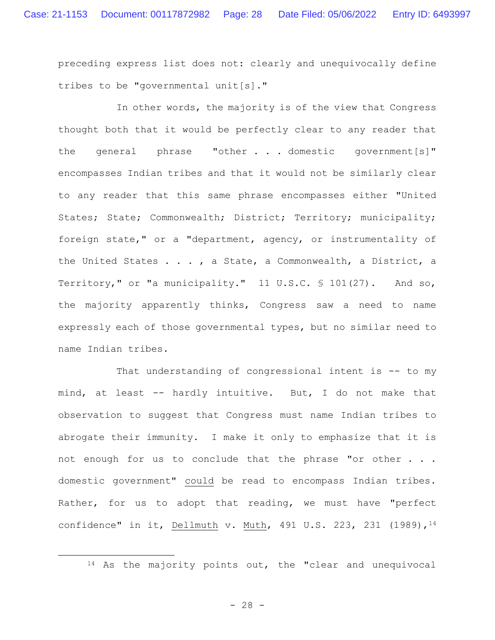preceding express list does not: clearly and unequivocally define tribes to be "governmental unit[s]."

In other words, the majority is of the view that Congress thought both that it would be perfectly clear to any reader that the general phrase "other . . . domestic government[s]" encompasses Indian tribes and that it would not be similarly clear to any reader that this same phrase encompasses either "United States; State; Commonwealth; District; Territory; municipality; foreign state," or a "department, agency, or instrumentality of the United States . . . , a State, a Commonwealth, a District, a Territory," or "a municipality." 11 U.S.C. § 101(27). And so, the majority apparently thinks, Congress saw a need to name expressly each of those governmental types, but no similar need to name Indian tribes.

That understanding of congressional intent is -- to my mind, at least -- hardly intuitive. But, I do not make that observation to suggest that Congress must name Indian tribes to abrogate their immunity. I make it only to emphasize that it is not enough for us to conclude that the phrase "or other . . . domestic government" could be read to encompass Indian tribes. Rather, for us to adopt that reading, we must have "perfect confidence" in it, Dellmuth v. Muth, 491 U.S. 223, 231 (1989), 14

<sup>14</sup> As the majority points out, the "clear and unequivocal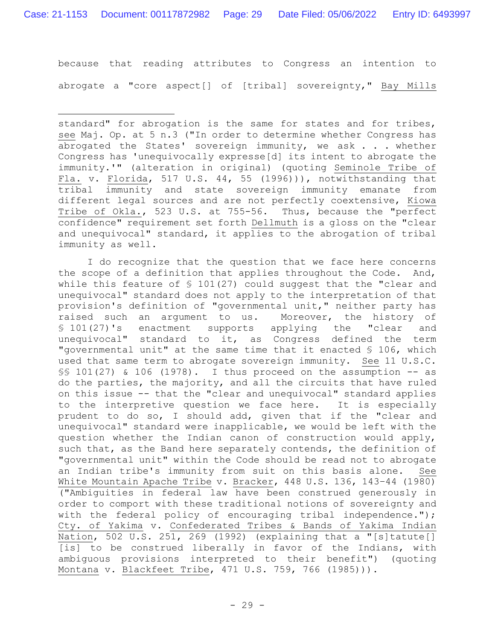because that reading attributes to Congress an intention to abrogate a "core aspect[] of [tribal] sovereignty," Bay Mills

I do recognize that the question that we face here concerns the scope of a definition that applies throughout the Code. And, while this feature of § 101(27) could suggest that the "clear and unequivocal" standard does not apply to the interpretation of that provision's definition of "governmental unit," neither party has raised such an argument to us. Moreover, the history of § 101(27)'s enactment supports applying the "clear and unequivocal" standard to it, as Congress defined the term "governmental unit" at the same time that it enacted § 106, which used that same term to abrogate sovereign immunity. See 11 U.S.C. §§ 101(27) & 106 (1978). I thus proceed on the assumption -- as do the parties, the majority, and all the circuits that have ruled on this issue -- that the "clear and unequivocal" standard applies to the interpretive question we face here. It is especially prudent to do so, I should add, given that if the "clear and unequivocal" standard were inapplicable, we would be left with the question whether the Indian canon of construction would apply, such that, as the Band here separately contends, the definition of "governmental unit" within the Code should be read not to abrogate an Indian tribe's immunity from suit on this basis alone. White Mountain Apache Tribe v. Bracker, 448 U.S. 136, 143-44 (1980) ("Ambiguities in federal law have been construed generously in order to comport with these traditional notions of sovereignty and with the federal policy of encouraging tribal independence."); Cty. of Yakima v. Confederated Tribes & Bands of Yakima Indian Nation, 502 U.S. 251, 269 (1992) (explaining that a "[s]tatute[] [is] to be construed liberally in favor of the Indians, with ambiguous provisions interpreted to their benefit") (quoting Montana v. Blackfeet Tribe, 471 U.S. 759, 766 (1985))).

standard" for abrogation is the same for states and for tribes, see Maj. Op. at 5 n.3 ("In order to determine whether Congress has abrogated the States' sovereign immunity, we ask . . . whether Congress has 'unequivocally expresse[d] its intent to abrogate the immunity.'" (alteration in original) (quoting Seminole Tribe of Fla. v. Florida, 517 U.S. 44, 55 (1996))), notwithstanding that tribal immunity and state sovereign immunity emanate from different legal sources and are not perfectly coextensive, Kiowa Tribe of Okla., 523 U.S. at 755-56. Thus, because the "perfect confidence" requirement set forth Dellmuth is a gloss on the "clear and unequivocal" standard, it applies to the abrogation of tribal immunity as well.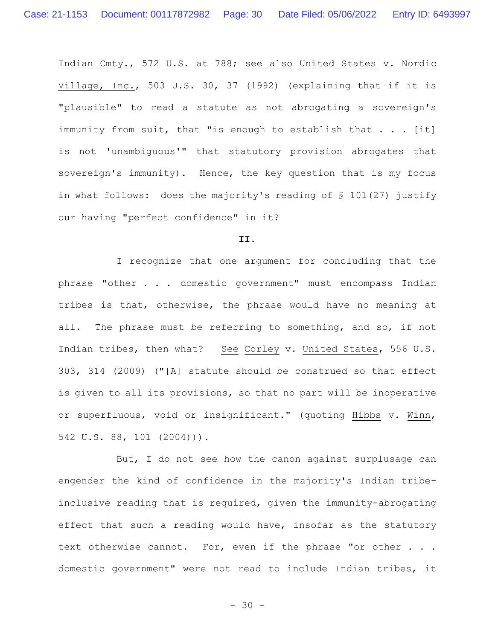Indian Cmty., 572 U.S. at 788; see also United States v. Nordic Village, Inc., 503 U.S. 30, 37 (1992) (explaining that if it is "plausible" to read a statute as not abrogating a sovereign's immunity from suit, that "is enough to establish that  $\ldots$  [it] is not 'unambiguous'" that statutory provision abrogates that sovereign's immunity). Hence, the key question that is my focus in what follows: does the majority's reading of § 101(27) justify our having "perfect confidence" in it?

# **II.**

I recognize that one argument for concluding that the phrase "other . . . domestic government" must encompass Indian tribes is that, otherwise, the phrase would have no meaning at all. The phrase must be referring to something, and so, if not Indian tribes, then what? See Corley v. United States, 556 U.S. 303, 314 (2009) ("[A] statute should be construed so that effect is given to all its provisions, so that no part will be inoperative or superfluous, void or insignificant." (quoting Hibbs v. Winn, 542 U.S. 88, 101 (2004))).

But, I do not see how the canon against surplusage can engender the kind of confidence in the majority's Indian tribeinclusive reading that is required, given the immunity-abrogating effect that such a reading would have, insofar as the statutory text otherwise cannot. For, even if the phrase "or other . . . domestic government" were not read to include Indian tribes, it

- 30 -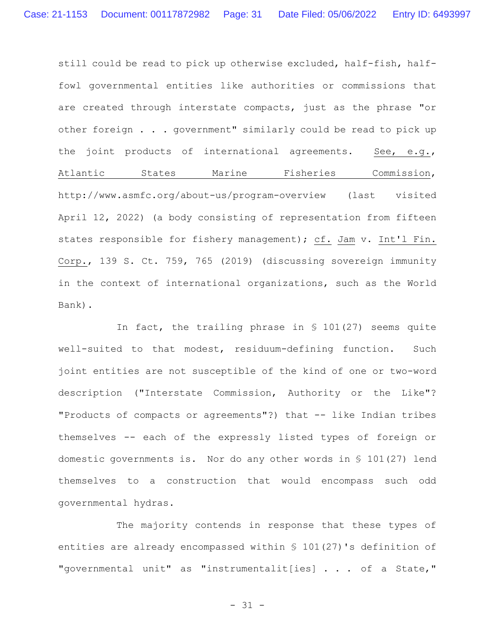still could be read to pick up otherwise excluded, half-fish, halffowl governmental entities like authorities or commissions that are created through interstate compacts, just as the phrase "or other foreign . . . government" similarly could be read to pick up the joint products of international agreements. See, e.g., Atlantic States Marine Fisheries Commission, http://www.asmfc.org/about-us/program-overview (last visited April 12, 2022) (a body consisting of representation from fifteen states responsible for fishery management); cf. Jam v. Int'l Fin. Corp., 139 S. Ct. 759, 765 (2019) (discussing sovereign immunity in the context of international organizations, such as the World Bank).

In fact, the trailing phrase in § 101(27) seems quite well-suited to that modest, residuum-defining function. Such joint entities are not susceptible of the kind of one or two-word description ("Interstate Commission, Authority or the Like"? "Products of compacts or agreements"?) that -- like Indian tribes themselves -- each of the expressly listed types of foreign or domestic governments is. Nor do any other words in § 101(27) lend themselves to a construction that would encompass such odd governmental hydras.

The majority contends in response that these types of entities are already encompassed within § 101(27)'s definition of "governmental unit" as "instrumentalit[ies] . . . of a State,"

- 31 -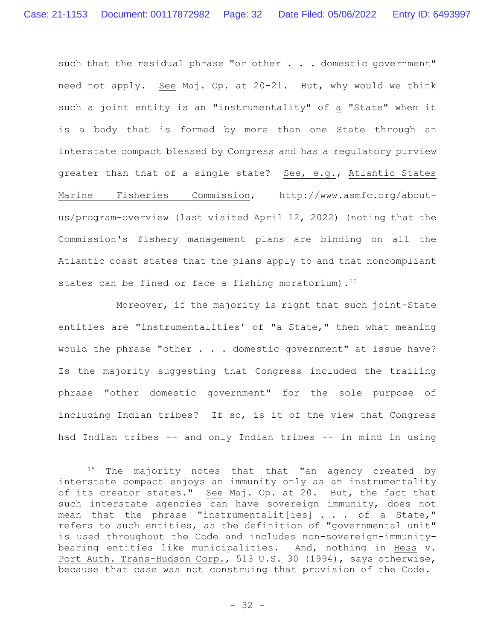such that the residual phrase "or other . . . domestic government" need not apply. See Maj. Op. at 20-21. But, why would we think such a joint entity is an "instrumentality" of a "State" when it is a body that is formed by more than one State through an interstate compact blessed by Congress and has a regulatory purview greater than that of a single state? See, e.g., Atlantic States Marine Fisheries Commission, http://www.asmfc.org/aboutus/program-overview (last visited April 12, 2022) (noting that the Commission's fishery management plans are binding on all the Atlantic coast states that the plans apply to and that noncompliant states can be fined or face a fishing moratorium).<sup>15</sup>

Moreover, if the majority is right that such joint-State entities are "instrumentalities' of "a State," then what meaning would the phrase "other . . . domestic government" at issue have? Is the majority suggesting that Congress included the trailing phrase "other domestic government" for the sole purpose of including Indian tribes? If so, is it of the view that Congress had Indian tribes -- and only Indian tribes -- in mind in using

<sup>&</sup>lt;sup>15</sup> The majority notes that that "an agency created by interstate compact enjoys an immunity only as an instrumentality of its creator states." See Maj. Op. at 20. But, the fact that such interstate agencies can have sovereign immunity, does not mean that the phrase "instrumentalit[ies] . . . of a State," refers to such entities, as the definition of "governmental unit" is used throughout the Code and includes non-sovereign-immunitybearing entities like municipalities. And, nothing in Hess v. Port Auth. Trans-Hudson Corp., 513 U.S. 30 (1994), says otherwise, because that case was not construing that provision of the Code.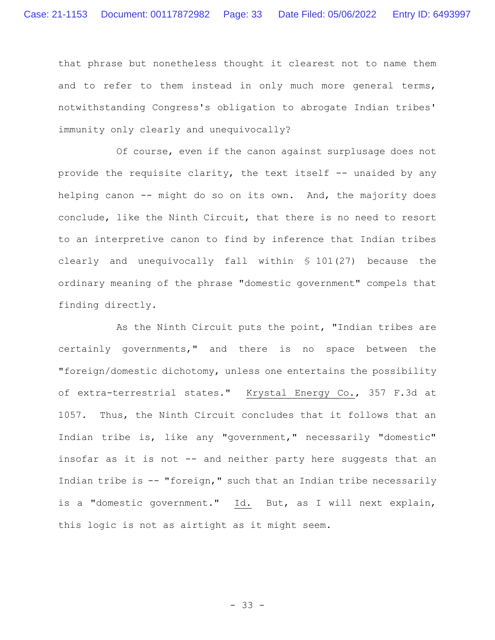that phrase but nonetheless thought it clearest not to name them and to refer to them instead in only much more general terms, notwithstanding Congress's obligation to abrogate Indian tribes' immunity only clearly and unequivocally?

Of course, even if the canon against surplusage does not provide the requisite clarity, the text itself -- unaided by any helping canon -- might do so on its own. And, the majority does conclude, like the Ninth Circuit, that there is no need to resort to an interpretive canon to find by inference that Indian tribes clearly and unequivocally fall within § 101(27) because the ordinary meaning of the phrase "domestic government" compels that finding directly.

As the Ninth Circuit puts the point, "Indian tribes are certainly governments," and there is no space between the "foreign/domestic dichotomy, unless one entertains the possibility of extra-terrestrial states." Krystal Energy Co., 357 F.3d at 1057. Thus, the Ninth Circuit concludes that it follows that an Indian tribe is, like any "government," necessarily "domestic" insofar as it is not -- and neither party here suggests that an Indian tribe is -- "foreign," such that an Indian tribe necessarily is a "domestic government." Id. But, as I will next explain, this logic is not as airtight as it might seem.

- 33 -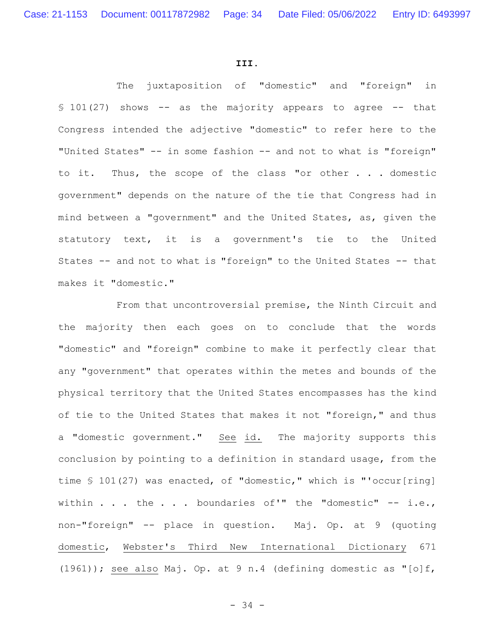#### **III.**

The juxtaposition of "domestic" and "foreign" in  $$101(27)$  shows -- as the majority appears to agree -- that Congress intended the adjective "domestic" to refer here to the "United States" -- in some fashion -- and not to what is "foreign" to it. Thus, the scope of the class "or other . . . domestic government" depends on the nature of the tie that Congress had in mind between a "government" and the United States, as, given the statutory text, it is a government's tie to the United States -- and not to what is "foreign" to the United States -- that makes it "domestic."

From that uncontroversial premise, the Ninth Circuit and the majority then each goes on to conclude that the words "domestic" and "foreign" combine to make it perfectly clear that any "government" that operates within the metes and bounds of the physical territory that the United States encompasses has the kind of tie to the United States that makes it not "foreign," and thus a "domestic government." See id. The majority supports this conclusion by pointing to a definition in standard usage, from the time § 101(27) was enacted, of "domestic," which is "'occur[ring] within  $\ldots$  the  $\ldots$  boundaries of'" the "domestic" -- i.e., non-"foreign" -- place in question. Maj. Op. at 9 (quoting domestic, Webster's Third New International Dictionary 671 (1961)); see also Maj. Op. at 9 n.4 (defining domestic as "[o]f,

- 34 -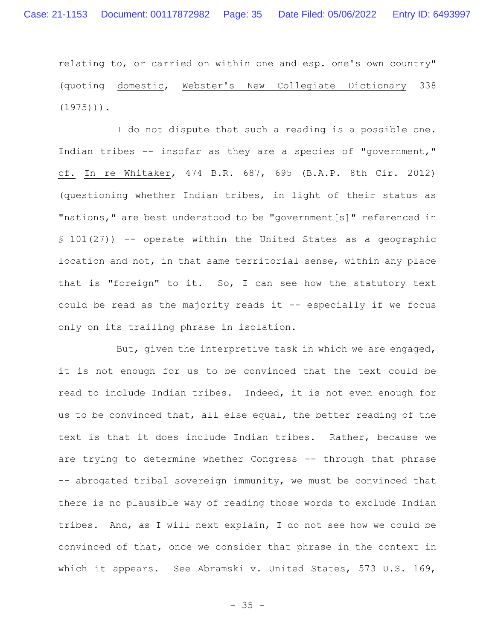relating to, or carried on within one and esp. one's own country" (quoting domestic, Webster's New Collegiate Dictionary 338  $(1975)$ )).

I do not dispute that such a reading is a possible one. Indian tribes -- insofar as they are a species of "government," cf. In re Whitaker, 474 B.R. 687, 695 (B.A.P. 8th Cir. 2012) (questioning whether Indian tribes, in light of their status as "nations," are best understood to be "government[s]" referenced in § 101(27)) -- operate within the United States as a geographic location and not, in that same territorial sense, within any place that is "foreign" to it. So, I can see how the statutory text could be read as the majority reads it -- especially if we focus only on its trailing phrase in isolation.

But, given the interpretive task in which we are engaged, it is not enough for us to be convinced that the text could be read to include Indian tribes. Indeed, it is not even enough for us to be convinced that, all else equal, the better reading of the text is that it does include Indian tribes. Rather, because we are trying to determine whether Congress -- through that phrase -- abrogated tribal sovereign immunity, we must be convinced that there is no plausible way of reading those words to exclude Indian tribes. And, as I will next explain, I do not see how we could be convinced of that, once we consider that phrase in the context in which it appears. See Abramski v. United States, 573 U.S. 169,

 $- 35 -$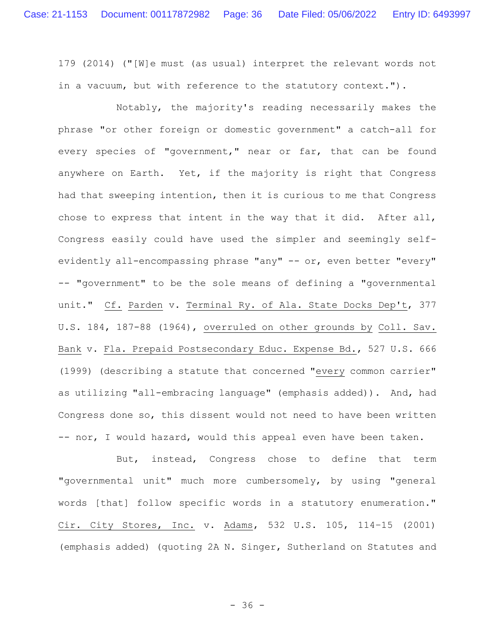179 (2014) ("[W]e must (as usual) interpret the relevant words not in a vacuum, but with reference to the statutory context.").

Notably, the majority's reading necessarily makes the phrase "or other foreign or domestic government" a catch-all for every species of "government," near or far, that can be found anywhere on Earth. Yet, if the majority is right that Congress had that sweeping intention, then it is curious to me that Congress chose to express that intent in the way that it did. After all, Congress easily could have used the simpler and seemingly selfevidently all-encompassing phrase "any" -- or, even better "every" -- "government" to be the sole means of defining a "governmental unit." Cf. Parden v. Terminal Ry. of Ala. State Docks Dep't, 377 U.S. 184, 187-88 (1964), overruled on other grounds by Coll. Sav. Bank v. Fla. Prepaid Postsecondary Educ. Expense Bd., 527 U.S. 666 (1999) (describing a statute that concerned "every common carrier" as utilizing "all-embracing language" (emphasis added)). And, had Congress done so, this dissent would not need to have been written -- nor, I would hazard, would this appeal even have been taken.

But, instead, Congress chose to define that term "governmental unit" much more cumbersomely, by using "general words [that] follow specific words in a statutory enumeration." Cir. City Stores, Inc. v. Adams, 532 U.S. 105, 114–15 (2001) (emphasis added) (quoting 2A N. Singer, Sutherland on Statutes and

- 36 -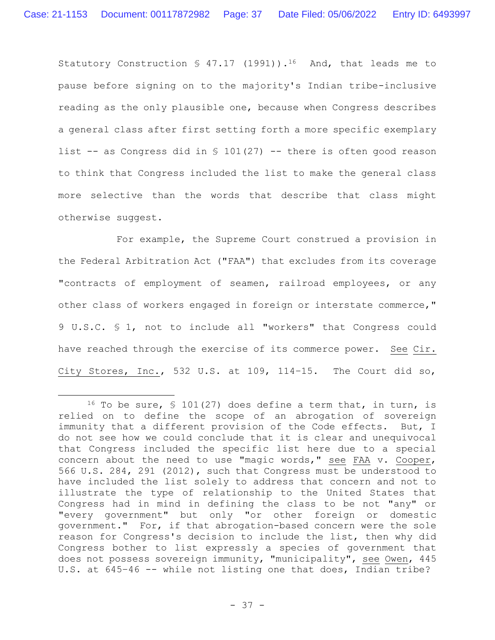Statutory Construction  $\frac{1}{2}$  47.17 (1991)).<sup>16</sup> And, that leads me to pause before signing on to the majority's Indian tribe-inclusive reading as the only plausible one, because when Congress describes a general class after first setting forth a more specific exemplary list  $-$  as Congress did in § 101(27)  $-$  there is often good reason to think that Congress included the list to make the general class more selective than the words that describe that class might otherwise suggest.

For example, the Supreme Court construed a provision in the Federal Arbitration Act ("FAA") that excludes from its coverage "contracts of employment of seamen, railroad employees, or any other class of workers engaged in foreign or interstate commerce," 9 U.S.C. § 1, not to include all "workers" that Congress could have reached through the exercise of its commerce power. See Cir. City Stores, Inc., 532 U.S. at 109, 114–15. The Court did so,

<sup>&</sup>lt;sup>16</sup> To be sure, § 101(27) does define a term that, in turn, is relied on to define the scope of an abrogation of sovereign immunity that a different provision of the Code effects. But, I do not see how we could conclude that it is clear and unequivocal that Congress included the specific list here due to a special concern about the need to use "magic words," see FAA v. Cooper, 566 U.S. 284, 291 (2012), such that Congress must be understood to have included the list solely to address that concern and not to illustrate the type of relationship to the United States that Congress had in mind in defining the class to be not "any" or "every government" but only "or other foreign or domestic government." For, if that abrogation-based concern were the sole reason for Congress's decision to include the list, then why did Congress bother to list expressly a species of government that does not possess sovereign immunity, "municipality", see Owen, 445 U.S. at 645–46 -- while not listing one that does, Indian tribe?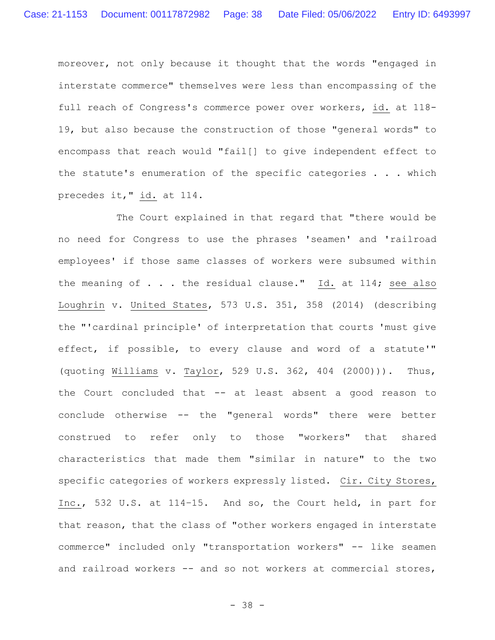moreover, not only because it thought that the words "engaged in interstate commerce" themselves were less than encompassing of the full reach of Congress's commerce power over workers, id. at 118- 19, but also because the construction of those "general words" to encompass that reach would "fail[] to give independent effect to the statute's enumeration of the specific categories . . . which precedes it," id. at 114.

The Court explained in that regard that "there would be no need for Congress to use the phrases 'seamen' and 'railroad employees' if those same classes of workers were subsumed within the meaning of . . . the residual clause." Id. at 114; see also Loughrin v. United States, 573 U.S. 351, 358 (2014) (describing the "'cardinal principle' of interpretation that courts 'must give effect, if possible, to every clause and word of a statute'" (quoting Williams v. Taylor, 529 U.S. 362, 404 (2000))). Thus, the Court concluded that -- at least absent a good reason to conclude otherwise -- the "general words" there were better construed to refer only to those "workers" that shared characteristics that made them "similar in nature" to the two specific categories of workers expressly listed. Cir. City Stores, Inc., 532 U.S. at 114–15. And so, the Court held, in part for that reason, that the class of "other workers engaged in interstate commerce" included only "transportation workers" -- like seamen and railroad workers -- and so not workers at commercial stores,

- 38 -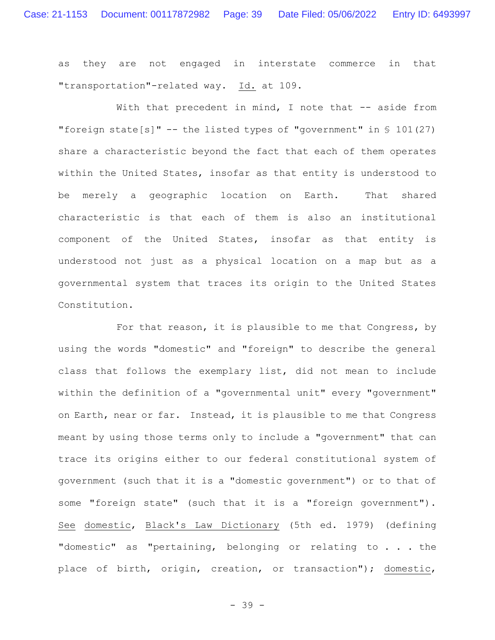as they are not engaged in interstate commerce in that "transportation"-related way. Id. at 109.

With that precedent in mind, I note that -- aside from "foreign state[s]" -- the listed types of "government" in  $\S$  101(27) share a characteristic beyond the fact that each of them operates within the United States, insofar as that entity is understood to be merely a geographic location on Earth. That shared characteristic is that each of them is also an institutional component of the United States, insofar as that entity is understood not just as a physical location on a map but as a governmental system that traces its origin to the United States Constitution.

For that reason, it is plausible to me that Congress, by using the words "domestic" and "foreign" to describe the general class that follows the exemplary list, did not mean to include within the definition of a "governmental unit" every "government" on Earth, near or far. Instead, it is plausible to me that Congress meant by using those terms only to include a "government" that can trace its origins either to our federal constitutional system of government (such that it is a "domestic government") or to that of some "foreign state" (such that it is a "foreign government"). See domestic, Black's Law Dictionary (5th ed. 1979) (defining "domestic" as "pertaining, belonging or relating to . . . the place of birth, origin, creation, or transaction"); domestic,

- 39 -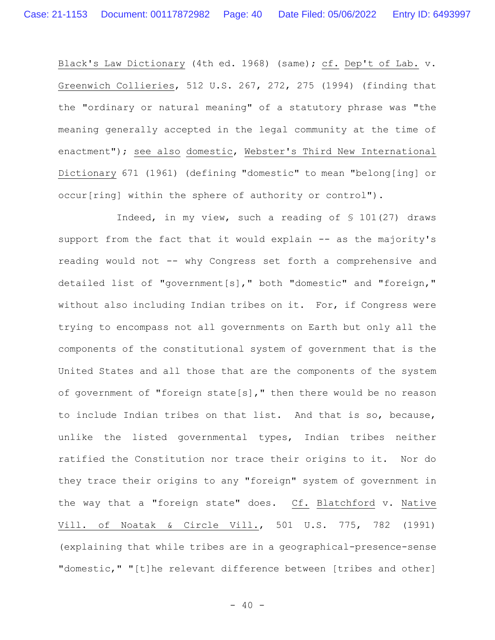Black's Law Dictionary (4th ed. 1968) (same); cf. Dep't of Lab. v. Greenwich Collieries, 512 U.S. 267, 272, 275 (1994) (finding that the "ordinary or natural meaning" of a statutory phrase was "the meaning generally accepted in the legal community at the time of enactment"); see also domestic, Webster's Third New International Dictionary 671 (1961) (defining "domestic" to mean "belong[ing] or occur[ring] within the sphere of authority or control").

Indeed, in my view, such a reading of § 101(27) draws support from the fact that it would explain -- as the majority's reading would not -- why Congress set forth a comprehensive and detailed list of "government[s]," both "domestic" and "foreign," without also including Indian tribes on it. For, if Congress were trying to encompass not all governments on Earth but only all the components of the constitutional system of government that is the United States and all those that are the components of the system of government of "foreign state[s]," then there would be no reason to include Indian tribes on that list. And that is so, because, unlike the listed governmental types, Indian tribes neither ratified the Constitution nor trace their origins to it. Nor do they trace their origins to any "foreign" system of government in the way that a "foreign state" does. Cf. Blatchford v. Native Vill. of Noatak & Circle Vill., 501 U.S. 775, 782 (1991) (explaining that while tribes are in a geographical-presence-sense "domestic," "[t]he relevant difference between [tribes and other]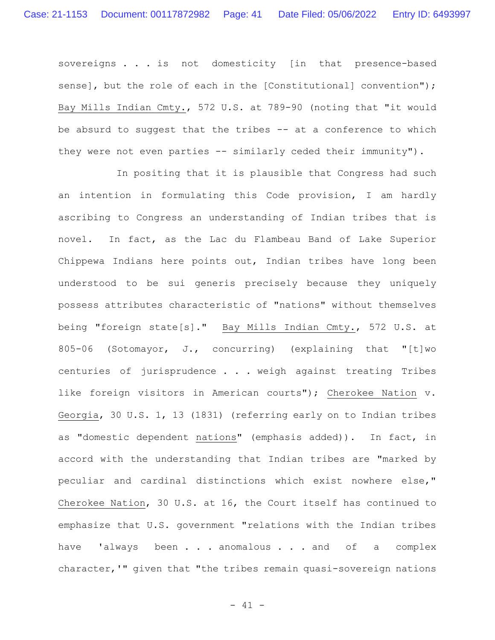sovereigns . . . is not domesticity [in that presence-based sense], but the role of each in the [Constitutional] convention"); Bay Mills Indian Cmty., 572 U.S. at 789-90 (noting that "it would be absurd to suggest that the tribes -- at a conference to which they were not even parties -- similarly ceded their immunity").

In positing that it is plausible that Congress had such an intention in formulating this Code provision, I am hardly ascribing to Congress an understanding of Indian tribes that is novel. In fact, as the Lac du Flambeau Band of Lake Superior Chippewa Indians here points out, Indian tribes have long been understood to be sui generis precisely because they uniquely possess attributes characteristic of "nations" without themselves being "foreign state[s]." Bay Mills Indian Cmty., 572 U.S. at 805-06 (Sotomayor, J., concurring) (explaining that "[t]wo centuries of jurisprudence . . . weigh against treating Tribes like foreign visitors in American courts"); Cherokee Nation v. Georgia, 30 U.S. 1, 13 (1831) (referring early on to Indian tribes as "domestic dependent nations" (emphasis added)). In fact, in accord with the understanding that Indian tribes are "marked by peculiar and cardinal distinctions which exist nowhere else," Cherokee Nation, 30 U.S. at 16, the Court itself has continued to emphasize that U.S. government "relations with the Indian tribes have 'always been . . . anomalous . . . and of a complex character,'" given that "the tribes remain quasi-sovereign nations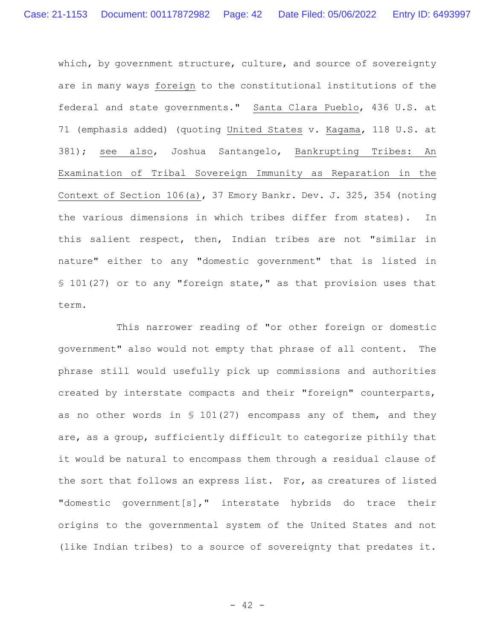which, by government structure, culture, and source of sovereignty are in many ways foreign to the constitutional institutions of the federal and state governments." Santa Clara Pueblo, 436 U.S. at 71 (emphasis added) (quoting United States v. Kagama, 118 U.S. at 381); see also, Joshua Santangelo, Bankrupting Tribes: An Examination of Tribal Sovereign Immunity as Reparation in the Context of Section 106(a), 37 Emory Bankr. Dev. J. 325, 354 (noting the various dimensions in which tribes differ from states). In this salient respect, then, Indian tribes are not "similar in nature" either to any "domestic government" that is listed in § 101(27) or to any "foreign state," as that provision uses that term.

This narrower reading of "or other foreign or domestic government" also would not empty that phrase of all content. The phrase still would usefully pick up commissions and authorities created by interstate compacts and their "foreign" counterparts, as no other words in  $$ 101(27)$  encompass any of them, and they are, as a group, sufficiently difficult to categorize pithily that it would be natural to encompass them through a residual clause of the sort that follows an express list. For, as creatures of listed "domestic government[s]," interstate hybrids do trace their origins to the governmental system of the United States and not (like Indian tribes) to a source of sovereignty that predates it.

 $- 42 -$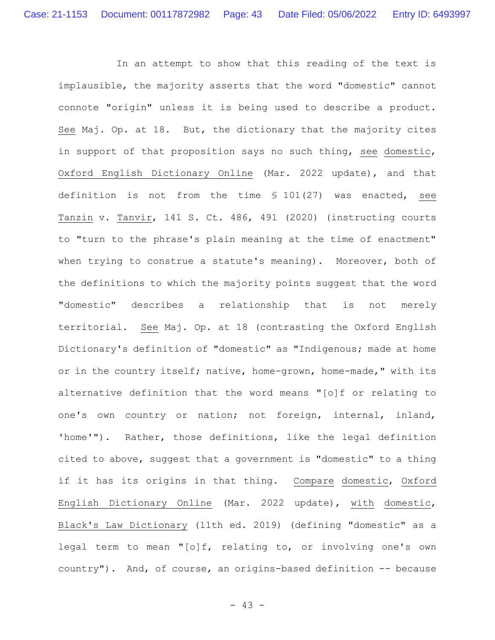In an attempt to show that this reading of the text is implausible, the majority asserts that the word "domestic" cannot connote "origin" unless it is being used to describe a product. See Maj. Op. at 18. But, the dictionary that the majority cites in support of that proposition says no such thing, see domestic, Oxford English Dictionary Online (Mar. 2022 update), and that definition is not from the time § 101(27) was enacted, see Tanzin v. Tanvir, 141 S. Ct. 486, 491 (2020) (instructing courts to "turn to the phrase's plain meaning at the time of enactment" when trying to construe a statute's meaning). Moreover, both of the definitions to which the majority points suggest that the word "domestic" describes a relationship that is not merely territorial. See Maj. Op. at 18 (contrasting the Oxford English Dictionary's definition of "domestic" as "Indigenous; made at home or in the country itself; native, home-grown, home-made," with its alternative definition that the word means "[o]f or relating to one's own country or nation; not foreign, internal, inland, 'home'"). Rather, those definitions, like the legal definition cited to above, suggest that a government is "domestic" to a thing if it has its origins in that thing. Compare domestic, Oxford English Dictionary Online (Mar. 2022 update), with domestic, Black's Law Dictionary (11th ed. 2019) (defining "domestic" as a legal term to mean **"**[o]f, relating to, or involving one's own country"). And, of course, an origins-based definition -- because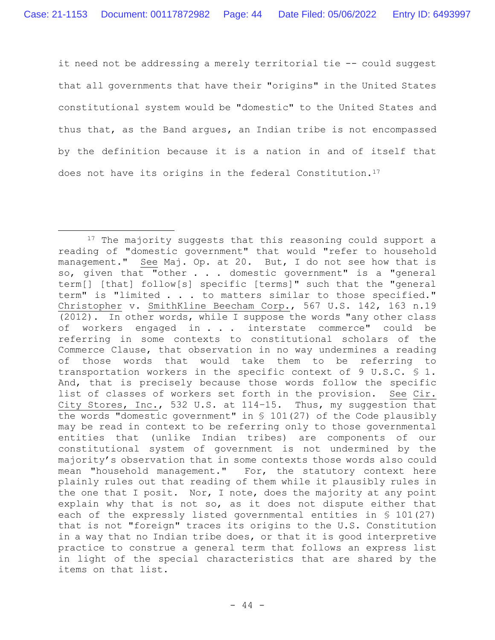it need not be addressing a merely territorial tie -- could suggest that all governments that have their "origins" in the United States constitutional system would be "domestic" to the United States and thus that, as the Band argues, an Indian tribe is not encompassed by the definition because it is a nation in and of itself that does not have its origins in the federal Constitution.<sup>17</sup>

<sup>&</sup>lt;sup>17</sup> The majority suggests that this reasoning could support a reading of "domestic government" that would "refer to household management." See Maj. Op. at 20. But, I do not see how that is so, given that "other . . . domestic government" is a "general term[] [that] follow[s] specific [terms]" such that the "general term" is "limited . . . to matters similar to those specified." Christopher v. SmithKline Beecham Corp., 567 U.S. 142, 163 n.19 (2012). In other words, while I suppose the words "any other class of workers engaged in . . . interstate commerce" could be referring in some contexts to constitutional scholars of the Commerce Clause, that observation in no way undermines a reading of those words that would take them to be referring to transportation workers in the specific context of 9 U.S.C. § 1. And, that is precisely because those words follow the specific list of classes of workers set forth in the provision. See Cir. City Stores, Inc., 532 U.S. at 114–15. Thus, my suggestion that the words "domestic government" in § 101(27) of the Code plausibly may be read in context to be referring only to those governmental entities that (unlike Indian tribes) are components of our constitutional system of government is not undermined by the majority's observation that in some contexts those words also could mean "household management." For, the statutory context here plainly rules out that reading of them while it plausibly rules in the one that I posit. Nor, I note, does the majority at any point explain why that is not so, as it does not dispute either that each of the expressly listed governmental entities in § 101(27) that is not "foreign" traces its origins to the U.S. Constitution in a way that no Indian tribe does, or that it is good interpretive practice to construe a general term that follows an express list in light of the special characteristics that are shared by the items on that list.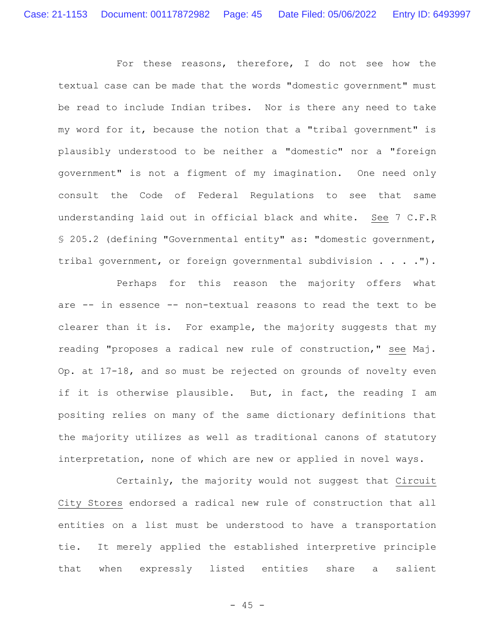For these reasons, therefore, I do not see how the textual case can be made that the words "domestic government" must be read to include Indian tribes. Nor is there any need to take my word for it, because the notion that a "tribal government" is plausibly understood to be neither a "domestic" nor a "foreign government" is not a figment of my imagination. One need only consult the Code of Federal Regulations to see that same understanding laid out in official black and white. See 7 C.F.R § 205.2 (defining "Governmental entity" as: "domestic government, tribal government, or foreign governmental subdivision . . . .").

Perhaps for this reason the majority offers what are -- in essence -- non-textual reasons to read the text to be clearer than it is. For example, the majority suggests that my reading "proposes a radical new rule of construction," see Maj. Op. at 17-18, and so must be rejected on grounds of novelty even if it is otherwise plausible. But, in fact, the reading I am positing relies on many of the same dictionary definitions that the majority utilizes as well as traditional canons of statutory interpretation, none of which are new or applied in novel ways.

Certainly, the majority would not suggest that Circuit City Stores endorsed a radical new rule of construction that all entities on a list must be understood to have a transportation tie. It merely applied the established interpretive principle that when expressly listed entities share a salient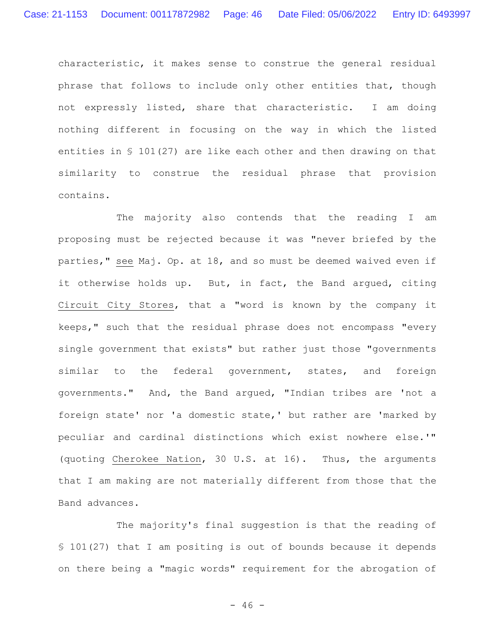characteristic, it makes sense to construe the general residual phrase that follows to include only other entities that, though not expressly listed, share that characteristic. I am doing nothing different in focusing on the way in which the listed entities in § 101(27) are like each other and then drawing on that similarity to construe the residual phrase that provision contains.

The majority also contends that the reading I am proposing must be rejected because it was "never briefed by the parties," see Maj. Op. at 18, and so must be deemed waived even if it otherwise holds up. But, in fact, the Band argued, citing Circuit City Stores, that a "word is known by the company it keeps," such that the residual phrase does not encompass "every single government that exists" but rather just those "governments similar to the federal government, states, and foreign governments." And, the Band argued, "Indian tribes are 'not a foreign state' nor 'a domestic state,' but rather are 'marked by peculiar and cardinal distinctions which exist nowhere else.'" (quoting Cherokee Nation, 30 U.S. at 16). Thus, the arguments that I am making are not materially different from those that the Band advances.

The majority's final suggestion is that the reading of § 101(27) that I am positing is out of bounds because it depends on there being a "magic words" requirement for the abrogation of

 $- 46 -$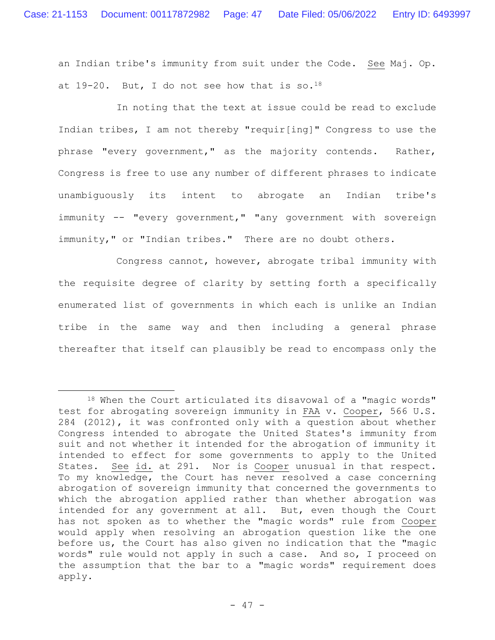an Indian tribe's immunity from suit under the Code. See Maj. Op. at  $19-20$ . But, I do not see how that is so.<sup>18</sup>

In noting that the text at issue could be read to exclude Indian tribes, I am not thereby "requir[ing]" Congress to use the phrase "every government," as the majority contends. Rather, Congress is free to use any number of different phrases to indicate unambiguously its intent to abrogate an Indian tribe's immunity -- "every government," "any government with sovereign immunity," or "Indian tribes." There are no doubt others.

Congress cannot, however, abrogate tribal immunity with the requisite degree of clarity by setting forth a specifically enumerated list of governments in which each is unlike an Indian tribe in the same way and then including a general phrase thereafter that itself can plausibly be read to encompass only the

<sup>18</sup> When the Court articulated its disavowal of a "magic words" test for abrogating sovereign immunity in FAA v. Cooper, 566 U.S. 284 (2012), it was confronted only with a question about whether Congress intended to abrogate the United States's immunity from suit and not whether it intended for the abrogation of immunity it intended to effect for some governments to apply to the United States. See id. at 291. Nor is Cooper unusual in that respect. To my knowledge, the Court has never resolved a case concerning abrogation of sovereign immunity that concerned the governments to which the abrogation applied rather than whether abrogation was intended for any government at all. But, even though the Court has not spoken as to whether the "magic words" rule from Cooper would apply when resolving an abrogation question like the one before us, the Court has also given no indication that the "magic words" rule would not apply in such a case. And so, I proceed on the assumption that the bar to a "magic words" requirement does apply.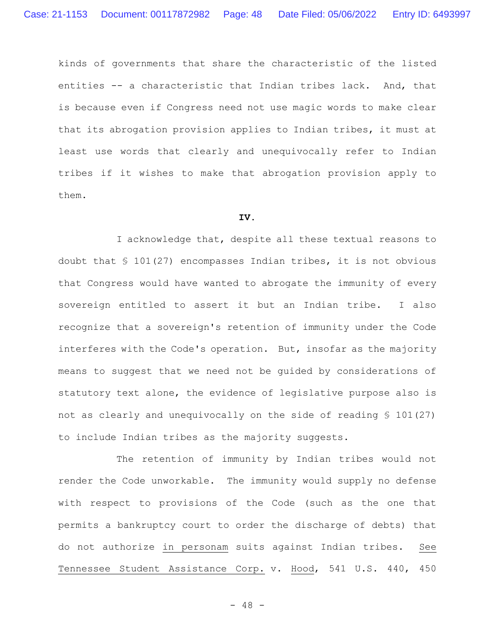kinds of governments that share the characteristic of the listed entities -- a characteristic that Indian tribes lack. And, that is because even if Congress need not use magic words to make clear that its abrogation provision applies to Indian tribes, it must at least use words that clearly and unequivocally refer to Indian tribes if it wishes to make that abrogation provision apply to them.

### **IV.**

I acknowledge that, despite all these textual reasons to doubt that § 101(27) encompasses Indian tribes, it is not obvious that Congress would have wanted to abrogate the immunity of every sovereign entitled to assert it but an Indian tribe. I also recognize that a sovereign's retention of immunity under the Code interferes with the Code's operation. But, insofar as the majority means to suggest that we need not be guided by considerations of statutory text alone, the evidence of legislative purpose also is not as clearly and unequivocally on the side of reading § 101(27) to include Indian tribes as the majority suggests.

The retention of immunity by Indian tribes would not render the Code unworkable. The immunity would supply no defense with respect to provisions of the Code (such as the one that permits a bankruptcy court to order the discharge of debts) that do not authorize in personam suits against Indian tribes. See Tennessee Student Assistance Corp. v. Hood, 541 U.S. 440, 450

 $- 48 -$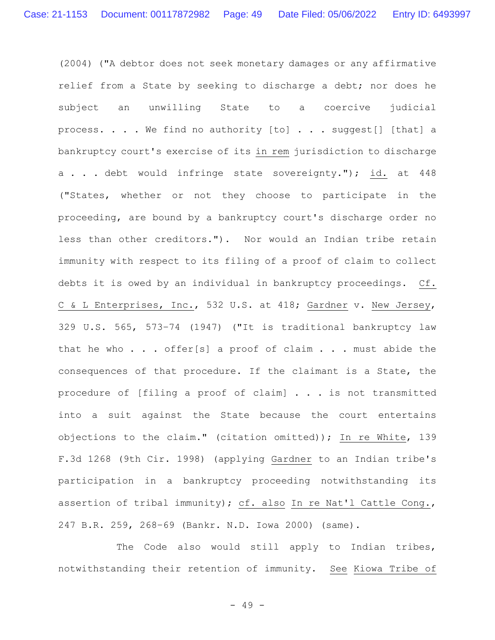(2004) ("A debtor does not seek monetary damages or any affirmative relief from a State by seeking to discharge a debt; nor does he subject an unwilling State to a coercive judicial process. . . . We find no authority [to] . . . suggest[] [that] a bankruptcy court's exercise of its in rem jurisdiction to discharge a . . . debt would infringe state sovereignty."); id. at 448 ("States, whether or not they choose to participate in the proceeding, are bound by a bankruptcy court's discharge order no less than other creditors."). Nor would an Indian tribe retain immunity with respect to its filing of a proof of claim to collect debts it is owed by an individual in bankruptcy proceedings. Cf. C & L Enterprises, Inc., 532 U.S. at 418; Gardner v. New Jersey, 329 U.S. 565, 573–74 (1947) ("It is traditional bankruptcy law that he who . . . offer[s] a proof of claim . . . must abide the consequences of that procedure. If the claimant is a State, the procedure of [filing a proof of claim] . . . is not transmitted into a suit against the State because the court entertains objections to the claim." (citation omitted)); In re White, 139 F.3d 1268 (9th Cir. 1998) (applying Gardner to an Indian tribe's participation in a bankruptcy proceeding notwithstanding its assertion of tribal immunity); cf. also In re Nat'l Cattle Cong., 247 B.R. 259, 268–69 (Bankr. N.D. Iowa 2000) (same).

The Code also would still apply to Indian tribes, notwithstanding their retention of immunity. See Kiowa Tribe of

- 49 -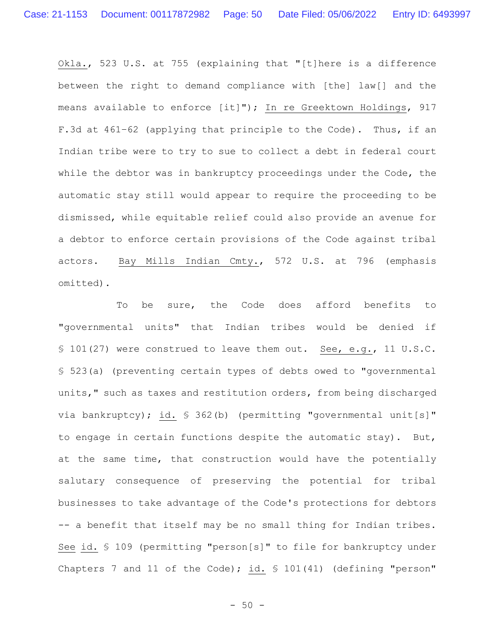Okla., 523 U.S. at 755 (explaining that "[t]here is a difference between the right to demand compliance with [the] law[] and the means available to enforce [it]"); In re Greektown Holdings, 917 F.3d at 461–62 (applying that principle to the Code). Thus, if an Indian tribe were to try to sue to collect a debt in federal court while the debtor was in bankruptcy proceedings under the Code, the automatic stay still would appear to require the proceeding to be dismissed, while equitable relief could also provide an avenue for a debtor to enforce certain provisions of the Code against tribal actors. Bay Mills Indian Cmty., 572 U.S. at 796 (emphasis omitted).

To be sure, the Code does afford benefits to "governmental units" that Indian tribes would be denied if § 101(27) were construed to leave them out. See, e.g., 11 U.S.C. § 523(a) (preventing certain types of debts owed to "governmental units," such as taxes and restitution orders, from being discharged via bankruptcy); id. § 362(b) (permitting "governmental unit[s]" to engage in certain functions despite the automatic stay). But, at the same time, that construction would have the potentially salutary consequence of preserving the potential for tribal businesses to take advantage of the Code's protections for debtors -- a benefit that itself may be no small thing for Indian tribes. See id. § 109 (permitting "person[s]" to file for bankruptcy under Chapters 7 and 11 of the Code); id. § 101(41) (defining "person"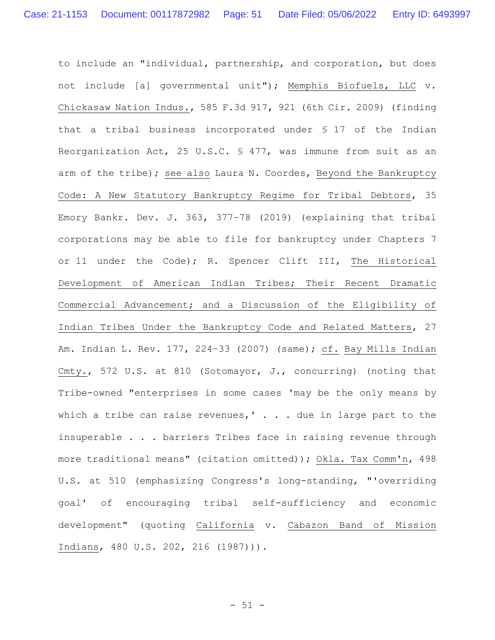to include an "individual, partnership, and corporation, but does not include [a] governmental unit"); Memphis Biofuels, LLC v. Chickasaw Nation Indus., 585 F.3d 917, 921 (6th Cir. 2009) (finding that a tribal business incorporated under § 17 of the Indian Reorganization Act, 25 U.S.C. § 477, was immune from suit as an arm of the tribe); see also Laura N. Coordes, Beyond the Bankruptcy Code: A New Statutory Bankruptcy Regime for Tribal Debtors, 35 Emory Bankr. Dev. J. 363, 377–78 (2019) (explaining that tribal corporations may be able to file for bankruptcy under Chapters 7 or 11 under the Code); R. Spencer Clift III, The Historical Development of American Indian Tribes; Their Recent Dramatic Commercial Advancement; and a Discussion of the Eligibility of Indian Tribes Under the Bankruptcy Code and Related Matters, 27 Am. Indian L. Rev. 177, 224–33 (2007) (same); cf. Bay Mills Indian Cmty., 572 U.S. at 810 (Sotomayor, J., concurring) (noting that Tribe-owned "enterprises in some cases 'may be the only means by which a tribe can raise revenues,'  $\ldots$  due in large part to the insuperable . . . barriers Tribes face in raising revenue through more traditional means" (citation omitted)); Okla. Tax Comm'n, 498 U.S. at 510 (emphasizing Congress's long-standing, "'overriding goal' of encouraging tribal self-sufficiency and economic development" (quoting California v. Cabazon Band of Mission Indians, 480 U.S. 202, 216 (1987))).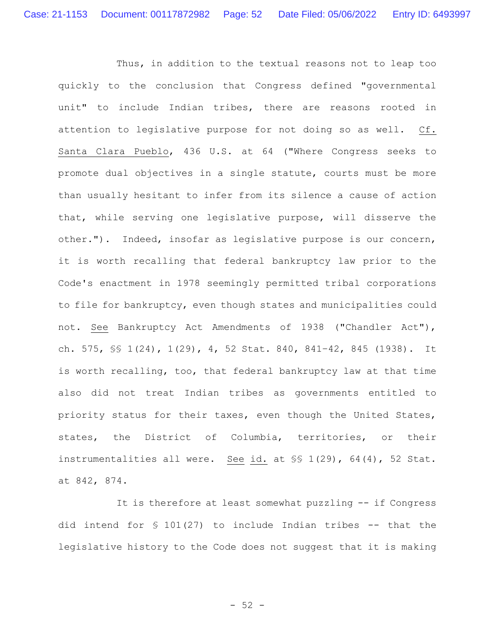Thus, in addition to the textual reasons not to leap too quickly to the conclusion that Congress defined "governmental unit" to include Indian tribes, there are reasons rooted in attention to legislative purpose for not doing so as well. Cf. Santa Clara Pueblo, 436 U.S. at 64 ("Where Congress seeks to promote dual objectives in a single statute, courts must be more than usually hesitant to infer from its silence a cause of action that, while serving one legislative purpose, will disserve the other."). Indeed, insofar as legislative purpose is our concern, it is worth recalling that federal bankruptcy law prior to the Code's enactment in 1978 seemingly permitted tribal corporations to file for bankruptcy, even though states and municipalities could not. See Bankruptcy Act Amendments of 1938 ("Chandler Act"), ch. 575, §§ 1(24), 1(29), 4, 52 Stat. 840, 841–42, 845 (1938). It is worth recalling, too, that federal bankruptcy law at that time also did not treat Indian tribes as governments entitled to priority status for their taxes, even though the United States, states, the District of Columbia, territories, or their instrumentalities all were. See id. at §§ 1(29), 64(4), 52 Stat. at 842, 874.

It is therefore at least somewhat puzzling -- if Congress did intend for § 101(27) to include Indian tribes -- that the legislative history to the Code does not suggest that it is making

 $-52 -$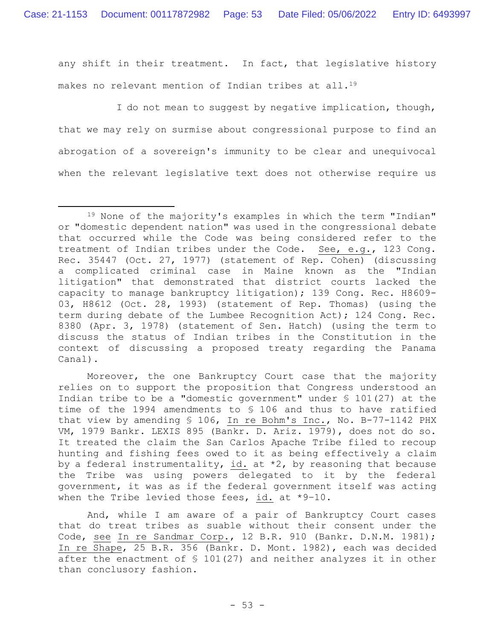any shift in their treatment. In fact, that legislative history makes no relevant mention of Indian tribes at all.<sup>19</sup>

I do not mean to suggest by negative implication, though, that we may rely on surmise about congressional purpose to find an abrogation of a sovereign's immunity to be clear and unequivocal when the relevant legislative text does not otherwise require us

Moreover, the one Bankruptcy Court case that the majority relies on to support the proposition that Congress understood an Indian tribe to be a "domestic government" under § 101(27) at the time of the 1994 amendments to § 106 and thus to have ratified that view by amending § 106, In re Bohm's Inc., No. B-77-1142 PHX VM, 1979 Bankr. LEXIS 895 (Bankr. D. Ariz. 1979), does not do so. It treated the claim the San Carlos Apache Tribe filed to recoup hunting and fishing fees owed to it as being effectively a claim by a federal instrumentality, id. at  $*2$ , by reasoning that because the Tribe was using powers delegated to it by the federal government, it was as if the federal government itself was acting when the Tribe levied those fees, id. at \*9–10.

And, while I am aware of a pair of Bankruptcy Court cases that do treat tribes as suable without their consent under the Code, see In re Sandmar Corp., 12 B.R. 910 (Bankr. D.N.M. 1981); In re Shape, 25 B.R. 356 (Bankr. D. Mont. 1982), each was decided after the enactment of § 101(27) and neither analyzes it in other than conclusory fashion.

<sup>19</sup> None of the majority's examples in which the term "Indian" or "domestic dependent nation" was used in the congressional debate that occurred while the Code was being considered refer to the treatment of Indian tribes under the Code. See, e.g., 123 Cong. Rec. 35447 (Oct. 27, 1977) (statement of Rep. Cohen) (discussing a complicated criminal case in Maine known as the "Indian litigation" that demonstrated that district courts lacked the capacity to manage bankruptcy litigation); 139 Cong. Rec. H8609- 03, H8612 (Oct. 28, 1993) (statement of Rep. Thomas) (using the term during debate of the Lumbee Recognition Act); 124 Cong. Rec. 8380 (Apr. 3, 1978) (statement of Sen. Hatch) (using the term to discuss the status of Indian tribes in the Constitution in the context of discussing a proposed treaty regarding the Panama Canal).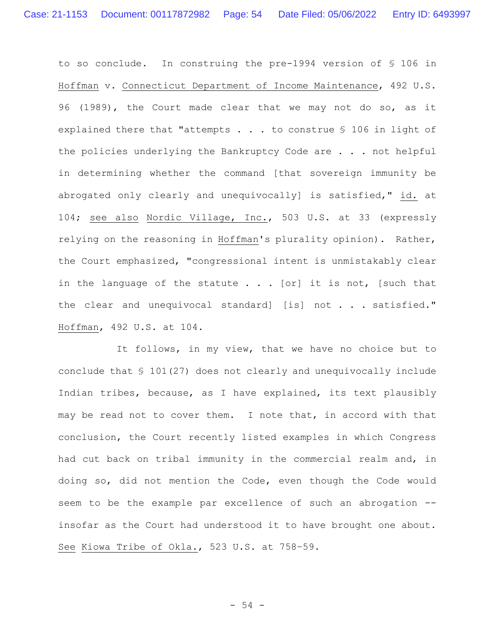to so conclude. In construing the pre-1994 version of § 106 in Hoffman v. Connecticut Department of Income Maintenance, 492 U.S. 96 (1989), the Court made clear that we may not do so, as it explained there that "attempts . . . to construe § 106 in light of the policies underlying the Bankruptcy Code are . . . not helpful in determining whether the command [that sovereign immunity be abrogated only clearly and unequivocally] is satisfied," id. at 104; see also Nordic Village, Inc., 503 U.S. at 33 (expressly relying on the reasoning in Hoffman's plurality opinion). Rather, the Court emphasized, "congressional intent is unmistakably clear in the language of the statute  $\ldots$  [or] it is not, [such that the clear and unequivocal standard] [is] not . . . satisfied." Hoffman, 492 U.S. at 104.

It follows, in my view, that we have no choice but to conclude that § 101(27) does not clearly and unequivocally include Indian tribes, because, as I have explained, its text plausibly may be read not to cover them. I note that, in accord with that conclusion, the Court recently listed examples in which Congress had cut back on tribal immunity in the commercial realm and, in doing so, did not mention the Code, even though the Code would seem to be the example par excellence of such an abrogation -insofar as the Court had understood it to have brought one about. See Kiowa Tribe of Okla., 523 U.S. at 758–59.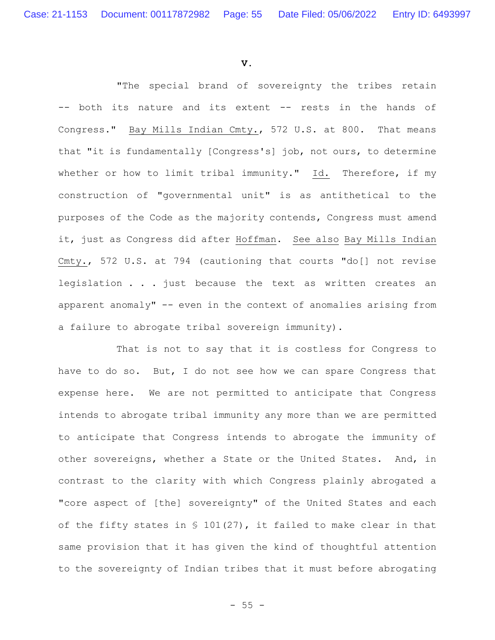**V.**

"The special brand of sovereignty the tribes retain -- both its nature and its extent -- rests in the hands of Congress." Bay Mills Indian Cmty., 572 U.S. at 800. That means that "it is fundamentally [Congress's] job, not ours, to determine whether or how to limit tribal immunity." Id. Therefore, if my construction of "governmental unit" is as antithetical to the purposes of the Code as the majority contends, Congress must amend it, just as Congress did after Hoffman. See also Bay Mills Indian Cmty., 572 U.S. at 794 (cautioning that courts "do[] not revise legislation . . . just because the text as written creates an apparent anomaly" -- even in the context of anomalies arising from a failure to abrogate tribal sovereign immunity).

That is not to say that it is costless for Congress to have to do so. But, I do not see how we can spare Congress that expense here. We are not permitted to anticipate that Congress intends to abrogate tribal immunity any more than we are permitted to anticipate that Congress intends to abrogate the immunity of other sovereigns, whether a State or the United States. And, in contrast to the clarity with which Congress plainly abrogated a "core aspect of [the] sovereignty" of the United States and each of the fifty states in § 101(27), it failed to make clear in that same provision that it has given the kind of thoughtful attention to the sovereignty of Indian tribes that it must before abrogating

 $- 55 -$